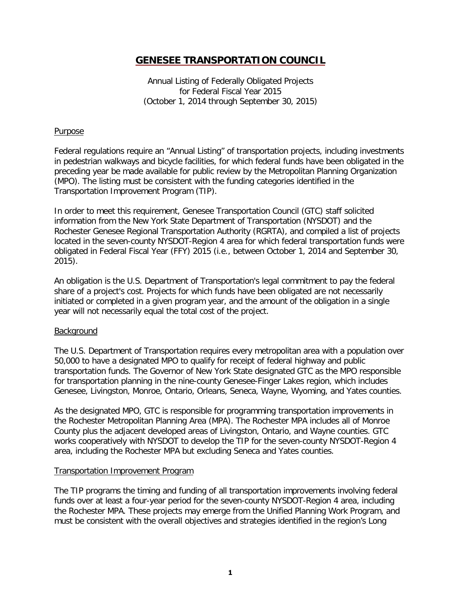Annual Listing of Federally Obligated Projects for Federal Fiscal Year 2015 (October 1, 2014 through September 30, 2015)

## **Purpose**

Federal regulations require an "Annual Listing" of transportation projects, including investments in pedestrian walkways and bicycle facilities, for which federal funds have been obligated in the preceding year be made available for public review by the Metropolitan Planning Organization (MPO). The listing must be consistent with the funding categories identified in the Transportation Improvement Program (TIP).

In order to meet this requirement, Genesee Transportation Council (GTC) staff solicited information from the New York State Department of Transportation (NYSDOT) and the Rochester Genesee Regional Transportation Authority (RGRTA), and compiled a list of projects located in the seven-county NYSDOT-Region 4 area for which federal transportation funds were obligated in Federal Fiscal Year (FFY) 2015 (i.e., between October 1, 2014 and September 30, 2015).

An obligation is the U.S. Department of Transportation's legal commitment to pay the federal share of a project's cost. Projects for which funds have been obligated are not necessarily initiated or completed in a given program year, and the amount of the obligation in a single year will not necessarily equal the total cost of the project.

### **Background**

The U.S. Department of Transportation requires every metropolitan area with a population over 50,000 to have a designated MPO to qualify for receipt of federal highway and public transportation funds. The Governor of New York State designated GTC as the MPO responsible for transportation planning in the nine-county Genesee-Finger Lakes region, which includes Genesee, Livingston, Monroe, Ontario, Orleans, Seneca, Wayne, Wyoming, and Yates counties.

As the designated MPO, GTC is responsible for programming transportation improvements in the Rochester Metropolitan Planning Area (MPA). The Rochester MPA includes all of Monroe County plus the adjacent developed areas of Livingston, Ontario, and Wayne counties. GTC works cooperatively with NYSDOT to develop the TIP for the seven-county NYSDOT-Region 4 area, including the Rochester MPA but excluding Seneca and Yates counties.

### Transportation Improvement Program

The TIP programs the timing and funding of all transportation improvements involving federal funds over at least a four-year period for the seven-county NYSDOT-Region 4 area, including the Rochester MPA. These projects may emerge from the Unified Planning Work Program, and must be consistent with the overall objectives and strategies identified in the region's Long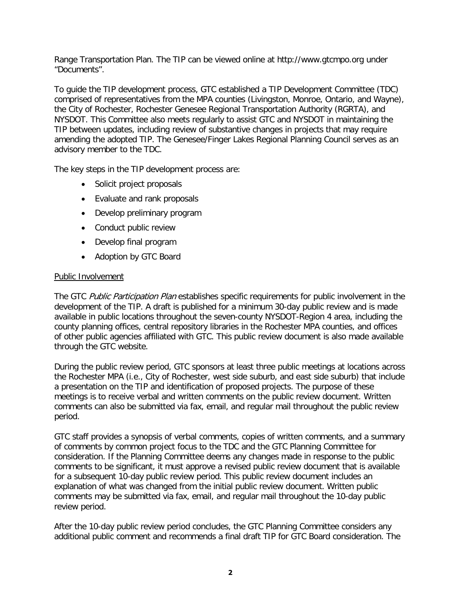Range Transportation Plan. The TIP can be viewed online at http://www.gtcmpo.org under "Documents".

To guide the TIP development process, GTC established a TIP Development Committee (TDC) comprised of representatives from the MPA counties (Livingston, Monroe, Ontario, and Wayne), the City of Rochester, Rochester Genesee Regional Transportation Authority (RGRTA), and NYSDOT. This Committee also meets regularly to assist GTC and NYSDOT in maintaining the TIP between updates, including review of substantive changes in projects that may require amending the adopted TIP. The Genesee/Finger Lakes Regional Planning Council serves as an advisory member to the TDC.

The key steps in the TIP development process are:

- Solicit project proposals
- Evaluate and rank proposals
- Develop preliminary program
- Conduct public review
- Develop final program
- Adoption by GTC Board

## Public Involvement

The GTC Public Participation Plan establishes specific requirements for public involvement in the development of the TIP. A draft is published for a minimum 30-day public review and is made available in public locations throughout the seven-county NYSDOT-Region 4 area, including the county planning offices, central repository libraries in the Rochester MPA counties, and offices of other public agencies affiliated with GTC. This public review document is also made available through the GTC website.

During the public review period, GTC sponsors at least three public meetings at locations across the Rochester MPA (i.e., City of Rochester, west side suburb, and east side suburb) that include a presentation on the TIP and identification of proposed projects. The purpose of these meetings is to receive verbal and written comments on the public review document. Written comments can also be submitted via fax, email, and regular mail throughout the public review period.

GTC staff provides a synopsis of verbal comments, copies of written comments, and a summary of comments by common project focus to the TDC and the GTC Planning Committee for consideration. If the Planning Committee deems any changes made in response to the public comments to be significant, it must approve a revised public review document that is available for a subsequent 10-day public review period. This public review document includes an explanation of what was changed from the initial public review document. Written public comments may be submitted via fax, email, and regular mail throughout the 10-day public review period.

After the 10-day public review period concludes, the GTC Planning Committee considers any additional public comment and recommends a final draft TIP for GTC Board consideration. The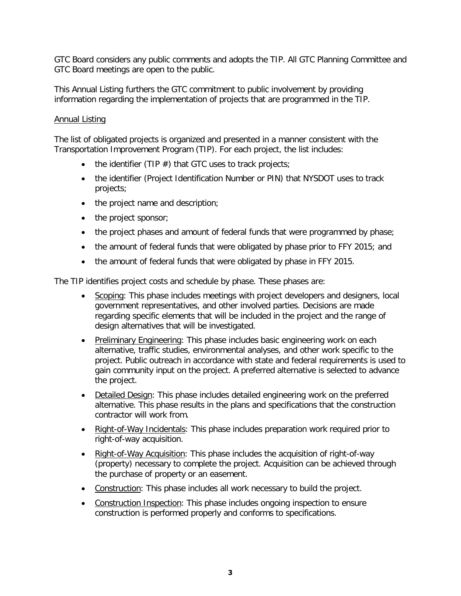GTC Board considers any public comments and adopts the TIP. All GTC Planning Committee and GTC Board meetings are open to the public.

This Annual Listing furthers the GTC commitment to public involvement by providing information regarding the implementation of projects that are programmed in the TIP.

## Annual Listing

The list of obligated projects is organized and presented in a manner consistent with the Transportation Improvement Program (TIP). For each project, the list includes:

- the identifier (TIP  $#$ ) that GTC uses to track projects;
- the identifier (Project Identification Number or PIN) that NYSDOT uses to track projects;
- the project name and description;
- the project sponsor;
- the project phases and amount of federal funds that were programmed by phase;
- the amount of federal funds that were obligated by phase prior to FFY 2015; and
- the amount of federal funds that were obligated by phase in FFY 2015.

The TIP identifies project costs and schedule by phase. These phases are:

- Scoping: This phase includes meetings with project developers and designers, local government representatives, and other involved parties. Decisions are made regarding specific elements that will be included in the project and the range of design alternatives that will be investigated.
- Preliminary Engineering: This phase includes basic engineering work on each alternative, traffic studies, environmental analyses, and other work specific to the project. Public outreach in accordance with state and federal requirements is used to gain community input on the project. A preferred alternative is selected to advance the project.
- Detailed Design: This phase includes detailed engineering work on the preferred alternative. This phase results in the plans and specifications that the construction contractor will work from.
- Right-of-Way Incidentals: This phase includes preparation work required prior to right-of-way acquisition.
- Right-of-Way Acquisition: This phase includes the acquisition of right-of-way (property) necessary to complete the project. Acquisition can be achieved through the purchase of property or an easement.
- Construction: This phase includes all work necessary to build the project.
- Construction Inspection: This phase includes ongoing inspection to ensure construction is performed properly and conforms to specifications.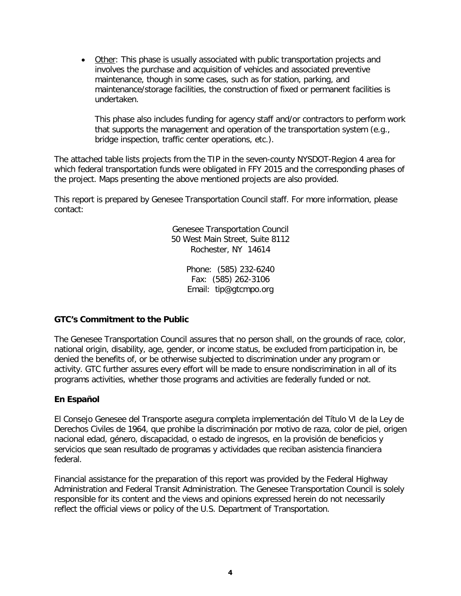• Other: This phase is usually associated with public transportation projects and involves the purchase and acquisition of vehicles and associated preventive maintenance, though in some cases, such as for station, parking, and maintenance/storage facilities, the construction of fixed or permanent facilities is undertaken.

This phase also includes funding for agency staff and/or contractors to perform work that supports the management and operation of the transportation system (e.g., bridge inspection, traffic center operations, etc.).

The attached table lists projects from the TIP in the seven-county NYSDOT-Region 4 area for which federal transportation funds were obligated in FFY 2015 and the corresponding phases of the project. Maps presenting the above mentioned projects are also provided.

This report is prepared by Genesee Transportation Council staff. For more information, please contact:

> Genesee Transportation Council 50 West Main Street, Suite 8112 Rochester, NY 14614

> > Phone: (585) 232-6240 Fax: (585) 262-3106 Email: tip@gtcmpo.org

## **GTC's Commitment to the Public**

The Genesee Transportation Council assures that no person shall, on the grounds of race, color, national origin, disability, age, gender, or income status, be excluded from participation in, be denied the benefits of, or be otherwise subjected to discrimination under any program or activity. GTC further assures every effort will be made to ensure nondiscrimination in all of its programs activities, whether those programs and activities are federally funded or not.

## **En Español**

El Consejo Genesee del Transporte asegura completa implementación del Título VI de la Ley de Derechos Civiles de 1964, que prohibe la discriminación por motivo de raza, color de piel, origen nacional edad, género, discapacidad, o estado de ingresos, en la provisión de beneficios y servicios que sean resultado de programas y actividades que reciban asistencia financiera federal.

Financial assistance for the preparation of this report was provided by the Federal Highway Administration and Federal Transit Administration. The Genesee Transportation Council is solely responsible for its content and the views and opinions expressed herein do not necessarily reflect the official views or policy of the U.S. Department of Transportation.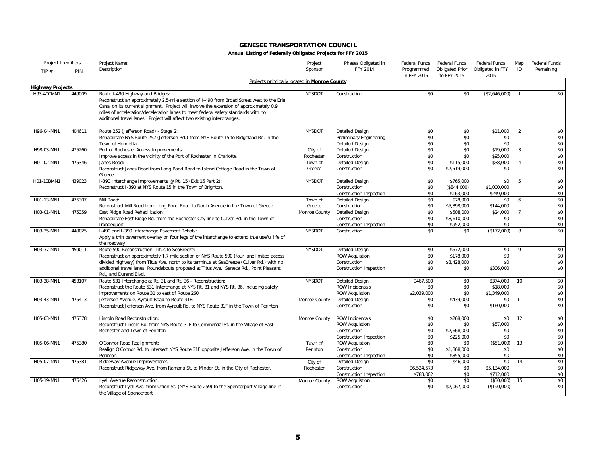| Project Identifiers     |        | Project Name:                                                                                                                                                                                                                                                                                                                                                                            | Project              | Phases Obligated in                        | Federal Funds             | Federal Funds                         | Federal Funds            | Map            | <b>Federal Funds</b> |
|-------------------------|--------|------------------------------------------------------------------------------------------------------------------------------------------------------------------------------------------------------------------------------------------------------------------------------------------------------------------------------------------------------------------------------------------|----------------------|--------------------------------------------|---------------------------|---------------------------------------|--------------------------|----------------|----------------------|
| TIP $#$                 | PIN    | Description                                                                                                                                                                                                                                                                                                                                                                              | Sponsor              | FFY 2014                                   | Programmed<br>in FFY 2015 | <b>Obligated Prior</b><br>to FFY 2015 | Obligated in FFY<br>2015 | ID             | Remaining            |
| <b>Highway Projects</b> |        | Projects principally located in Monroe County                                                                                                                                                                                                                                                                                                                                            |                      |                                            |                           |                                       |                          |                |                      |
| H93-40CMN1              | 449009 | Route I-490 Highway and Bridges:<br>Reconstruct an approximately 2.5-mile section of I-490 from Broad Street west to the Erie<br>Canal on its current alignment. Project will involve the extension of approximately 0.9<br>miles of acceleration/deceleration lanes to meet federal safety standards with no<br>additional travel lanes. Project will affect two existing interchanges. | <b>NYSDOT</b>        | Construction                               | \$0                       | \$0                                   | (\$2,646,000)            | $\overline{1}$ | \$0                  |
| H96-04-MN1              | 404611 | Route 252 (Jefferson Road) - Stage 2:                                                                                                                                                                                                                                                                                                                                                    | <b>NYSDOT</b>        | Detailed Design                            | \$0                       | \$0                                   | \$11,000                 | 2              | \$0                  |
|                         |        | Rehabilitate NYS Route 252 (Jefferson Rd.) from NYS Route 15 to Ridgeland Rd. in the<br>Town of Henrietta.                                                                                                                                                                                                                                                                               |                      | Preliminary Engineering<br>Detailed Design | \$0<br>\$0                | \$0<br>\$0                            | \$0<br>\$0               |                | \$0<br>\$0           |
| H98-03-MN1              | 475260 | Port of Rochester Access Improvements:                                                                                                                                                                                                                                                                                                                                                   | City of              | Detailed Design                            | \$0                       | \$0                                   | \$19,000                 | $\overline{3}$ | \$0                  |
|                         |        | Improve access in the vicinity of the Port of Rochester in Charlotte.                                                                                                                                                                                                                                                                                                                    | Rochester            | Construction                               | \$0                       | \$0                                   | \$95,000                 |                | \$0                  |
| H01-02-MN1              | 475346 | Janes Road:<br>Reconstruct Janes Road from Long Pond Road to Island Cottage Road in the Town of<br>Greece.                                                                                                                                                                                                                                                                               | Town of<br>Greece    | Detailed Design<br>Construction            | \$0<br>\$0                | \$115,000<br>\$2,519,000              | \$38,000<br>\$0          | $\overline{4}$ | \$0<br>\$0           |
| H01-10BMN1              | 439023 | I-390 Interchange Improvements @ Rt. 15 (Exit 16 Part 2):                                                                                                                                                                                                                                                                                                                                | <b>NYSDOT</b>        | <b>Detailed Design</b>                     | \$0                       | \$765,000                             | \$0                      | 5              | \$0                  |
|                         |        | Reconstruct I-390 at NYS Route 15 in the Town of Brighton.                                                                                                                                                                                                                                                                                                                               |                      | Construction                               | \$0                       | (\$844,000)                           | \$1,000,000              |                | \$0                  |
|                         |        |                                                                                                                                                                                                                                                                                                                                                                                          |                      | Construction Inspection                    | \$0                       | \$163,000                             | \$249,000                |                | \$0                  |
| H01-13-MN1              | 475307 | Mill Road:                                                                                                                                                                                                                                                                                                                                                                               | Town of              | Detailed Design                            | \$0                       | \$78,000                              | \$0                      | 6              | \$0                  |
|                         |        | Reconstruct Mill Road from Long Pond Road to North Avenue in the Town of Greece.                                                                                                                                                                                                                                                                                                         | Greece               | Construction                               | \$0                       | \$5,398,000                           | \$144,000                |                | \$0                  |
| H03-01-MN1              | 475359 | East Ridge Road Rehabilitation:                                                                                                                                                                                                                                                                                                                                                          | Monroe County        | Detailed Design                            | \$0                       | \$508,000                             | \$24,000                 | $\overline{7}$ | \$0                  |
|                         |        | Rehabilitate East Ridge Rd. from the Rochester City line to Culver Rd. in the Town of                                                                                                                                                                                                                                                                                                    |                      | Construction                               | \$0                       | \$8,610,000                           | \$0                      |                | \$0                  |
|                         |        | Irondequoit.                                                                                                                                                                                                                                                                                                                                                                             |                      | Construction Inspection                    | \$0                       | \$952,000                             | \$0                      |                | \$0                  |
| H03-35-MN1              | 449025 | I-490 and I-390 Interchange Pavement Rehab.:<br>Apply a thin pavement overlay on four legs of the interchange to extend th.e useful life of<br>the roadway                                                                                                                                                                                                                               | <b>NYSDOT</b>        | Construction                               | \$0                       | \$0                                   | (\$172,000)              | 8              | \$0                  |
| H03-37-MN1              | 459011 | Route 590 Reconstruction; Titus to SeaBreeze:                                                                                                                                                                                                                                                                                                                                            | <b>NYSDOT</b>        | Detailed Design                            | \$0                       | \$672,000                             | \$0                      | 9              | \$0                  |
|                         |        | Reconstruct an approximately 1.7 mile section of NYS Route 590 (four lane limited access                                                                                                                                                                                                                                                                                                 |                      | <b>ROW Acquistion</b>                      | \$0                       | \$178,000                             | \$0                      |                | \$0                  |
|                         |        | divided highway) from Titus Ave. north to its terminus at SeaBreeze (Culver Rd.) with no                                                                                                                                                                                                                                                                                                 |                      | Construction                               | \$0                       | \$8,428,000                           | \$0                      |                | \$0                  |
|                         |        | additional travel lanes. Roundabouts proposed at Titus Ave., Seneca Rd., Point Pleasant<br>Rd., and Durand Blvd.                                                                                                                                                                                                                                                                         |                      | Construction Inspection                    | \$0                       | \$0                                   | \$306,000                |                | \$0                  |
| H03-38-MN1              | 453107 | Route 531 Interchange at Rt. 31 and Rt. 36 - Reconstruction:                                                                                                                                                                                                                                                                                                                             | <b>NYSDOT</b>        | Detailed Design                            | \$467,500                 | \$0                                   | \$374,000                | 10             | \$0                  |
|                         |        | Reconstruct the Route 531 Interchange at NYS Rt. 31 and NYS Rt. 36, including safety                                                                                                                                                                                                                                                                                                     |                      | <b>ROW Incidentals</b>                     | \$0                       | \$0                                   | \$18,000                 |                | \$0                  |
|                         |        | improvements on Route 31 to east of Route 260.                                                                                                                                                                                                                                                                                                                                           |                      | <b>ROW Acquistion</b>                      | \$2,039,000               | \$0                                   | \$1,349,000              |                | \$0                  |
| H03-43-MN1              | 475413 | Jefferson Avenue, Ayrault Road to Route 31F:                                                                                                                                                                                                                                                                                                                                             | Monroe County        | <b>Detailed Design</b>                     | \$0                       | \$439,000                             | \$0                      | 11             | \$0                  |
|                         |        | Reconstruct Jefferson Ave. from Ayrault Rd. to NYS Route 31F in the Town of Perinton                                                                                                                                                                                                                                                                                                     |                      | Construction                               | \$0                       | \$0                                   | \$160,000                |                | \$0                  |
| H05-03-MN1              | 475378 | Lincoln Road Reconstruction:                                                                                                                                                                                                                                                                                                                                                             | Monroe County        | <b>ROW Incidentals</b>                     | \$0                       | \$268,000                             | \$0                      | 12             | \$0                  |
|                         |        | Reconstruct Lincoln Rd. from NYS Route 31F to Commercial St. in the Village of East                                                                                                                                                                                                                                                                                                      |                      | <b>ROW Acquistion</b>                      | \$0                       | \$0                                   | \$57,000                 |                | \$0                  |
|                         |        | Rochester and Town of Perinton                                                                                                                                                                                                                                                                                                                                                           |                      | Construction                               | \$0                       | \$2,668,000                           | \$0                      |                | \$0                  |
|                         |        |                                                                                                                                                                                                                                                                                                                                                                                          |                      | Construction Inspection                    | \$0                       | \$225,000                             | \$0                      |                | \$0                  |
| H05-06-MN1              | 475380 | O'Connor Road Realignment:                                                                                                                                                                                                                                                                                                                                                               | Town of              | <b>ROW Acquistion</b>                      | \$0                       | \$0                                   | (\$51,000)               | 13             | \$0                  |
|                         |        | Realign O'Connor Rd. to intersect NYS Route 31F opposite Jefferson Ave. in the Town of                                                                                                                                                                                                                                                                                                   | Perinton             | Construction                               | \$0                       | \$1,868,000                           | \$0                      |                | \$0                  |
| H05-07-MN1              | 475381 | Perinton.                                                                                                                                                                                                                                                                                                                                                                                |                      | Construction Inspection                    | \$0<br>\$0                | \$355,000                             | \$0<br>\$0               | 14             | \$0<br>\$0           |
|                         |        | Ridgeway Avenue Improvements:<br>Reconstruct Ridgeway Ave. from Ramona St. to Minder St. in the City of Rochester.                                                                                                                                                                                                                                                                       | City of<br>Rochester | Detailed Design<br>Construction            | \$6,524,573               | \$46,000<br>\$0                       | \$5,134,000              |                | \$0                  |
|                         |        |                                                                                                                                                                                                                                                                                                                                                                                          |                      | Construction Inspection                    | \$783,002                 | \$0                                   | \$712,000                |                | \$0                  |
| H05-19-MN1              | 475426 | Lyell Avenue Reconstruction:                                                                                                                                                                                                                                                                                                                                                             | Monroe County        | <b>ROW Acquistion</b>                      | \$0                       | \$0                                   | (\$30,000)               | - 15           | \$0                  |
|                         |        | Reconstruct Lyell Ave. from Union St. (NYS Route 259) to the Spencerport Village line in<br>the Village of Spencerport                                                                                                                                                                                                                                                                   |                      | Construction                               | \$0                       | \$2,067,000                           | (\$190,000)              |                | \$0                  |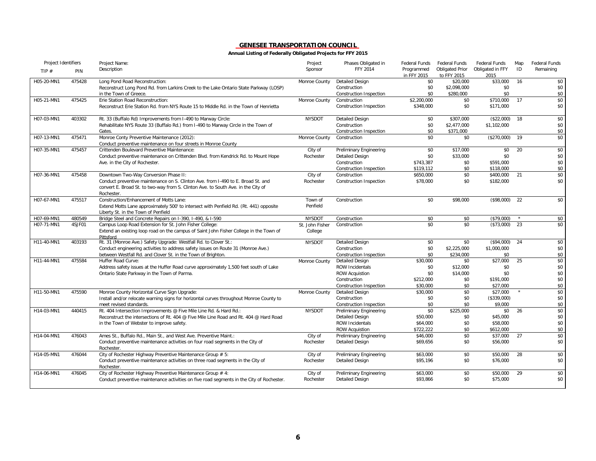| Project Identifiers |        | Project Name:                                                                                                                                                                       | Project         | Phases Obligated in            | <b>Federal Funds</b>      | <b>Federal Funds</b>           | Federal Funds            | Map | Federal Funds |
|---------------------|--------|-------------------------------------------------------------------------------------------------------------------------------------------------------------------------------------|-----------------|--------------------------------|---------------------------|--------------------------------|--------------------------|-----|---------------|
| TIP $#$             | PIN    | Description                                                                                                                                                                         | Sponsor         | FFY 2014                       | Programmed<br>in FFY 2015 | Obligated Prior<br>to FFY 2015 | Obligated in FFY<br>2015 | ID  | Remaining     |
| H05-20-MN1          | 475428 | Long Pond Road Reconstruction:                                                                                                                                                      | Monroe County   | <b>Detailed Design</b>         | \$0                       | \$20,000                       | \$33,000                 | 16  | \$0           |
|                     |        | Reconstruct Long Pond Rd. from Larkins Creek to the Lake Ontario State Parkway (LOSP)                                                                                               |                 | Construction                   | \$0                       | \$2,098,000                    | \$0                      |     | \$0           |
|                     |        | in the Town of Greece.                                                                                                                                                              |                 | Construction Inspection        | \$0                       | \$280,000                      | \$0                      |     | \$0           |
| H05-21-MN1          | 475425 | Erie Station Road Reconstruction:                                                                                                                                                   | Monroe County   | Construction                   | \$2,200,000               | \$0                            | \$710,000                | 17  | \$0           |
|                     |        | Reconstruct Erie Station Rd. from NYS Route 15 to Middle Rd. in the Town of Henrietta                                                                                               |                 | Construction Inspection        | \$348,000                 | \$0                            | \$171,000                |     | \$0           |
| H07-03-MN1          | 403302 | Rt. 33 (Buffalo Rd) Improvements from I-490 to Marway Circle:                                                                                                                       | <b>NYSDOT</b>   | <b>Detailed Design</b>         | \$0                       | \$307,000                      | (\$22,000)               | 18  | \$0           |
|                     |        | Rehabilitate NYS Route 33 (Buffalo Rd.) from I-490 to Marway Circle in the Town of                                                                                                  |                 | Construction                   | \$0                       | \$2,477,000                    | \$1,102,000              |     | \$0           |
|                     |        | Gates.                                                                                                                                                                              |                 | Construction Inspection        | \$0                       | \$371.000                      |                          |     | \$0           |
| H07-13-MN1          | 475471 | Monroe Conty Preventive Maintenance (2012):<br>Conduct preventive maintenance on four streets in Monroe County                                                                      | Monroe County   | Construction                   | \$0                       | \$0                            | (\$270,000)              | 19  | \$0           |
| H07-35-MN1          | 475457 | Crittenden Boulevard Preventive Maintenance:                                                                                                                                        | City of         | Preliminary Engineering        | \$0                       | \$17,000                       | \$0                      | 20  | \$0           |
|                     |        | Conduct preventive maintenance on Crittenden Blvd. from Kendrick Rd. to Mount Hope                                                                                                  | Rochester       | <b>Detailed Design</b>         | \$0                       | \$33,000                       | \$0                      |     | \$0           |
|                     |        | Ave. in the City of Rochester.                                                                                                                                                      |                 | Construction                   | \$743,387                 | \$0                            | \$591,000                |     | \$0           |
|                     |        |                                                                                                                                                                                     |                 | Construction Inspection        | \$119,112                 | \$0                            | \$118,000                |     | \$0           |
| H07-36-MN1          | 475458 | Downtown Two-Way Conversion Phase II:                                                                                                                                               | City of         | Construction                   | \$650,000                 | \$0                            | \$400,000                | 21  | \$0           |
|                     |        | Conduct preventive maintenance on S. Clinton Ave. from I-490 to E. Broad St. and<br>convert E. Broad St. to two-way from S. Clinton Ave. to South Ave. in the City of<br>Rochester. | Rochester       | Construction Inspection        | \$78,000                  | \$0                            | \$182,000                |     | \$0           |
| H07-67-MN1          | 475517 | Construction/Enhancement of Motts Lane:                                                                                                                                             | Town of         | Construction                   | \$0                       | \$98,000                       | (\$98,000)               | 22  | \$0           |
|                     |        | Extend Motts Lane approximately 500' to intersect with Penfield Rd. (Rt. 441) opposite<br>Liberty St. in the Town of Penfield                                                       | Penfield        |                                |                           |                                |                          |     |               |
| H07-69-MN1          | 480549 | Bridge Steel and Concrete Repairs on I-390, I-490, & I-590                                                                                                                          | <b>NYSDOT</b>   | Construction                   | \$0                       | \$0                            | (\$79,000)               |     | \$0           |
| H07-71-MN1          | 4SJF01 | Campus Loop Road Extension for St. John Fisher College:                                                                                                                             | St. John Fisher | Construction                   | \$0                       | \$0                            | (\$73,000)               | 23  | \$0           |
|                     |        | Extend an existing loop road on the campus of Saint John Fisher College in the Town of<br>Pittsford                                                                                 | College         |                                |                           |                                |                          |     |               |
| H11-40-MN1          | 403193 | Rt. 31 (Monroe Ave.) Safety Upgrade: Westfall Rd. to Clover St.:                                                                                                                    | <b>NYSDOT</b>   | Detailed Design                | \$0                       | \$0                            | (\$94,000)               | 24  | \$0           |
|                     |        | Conduct engineering activities to address safety issues on Route 31 (Monroe Ave.)                                                                                                   |                 | Construction                   | \$0                       | \$2,225,000                    | \$1,000,000              |     | \$0           |
|                     |        | between Westfall Rd. and Clover St. in the Town of Brighton.                                                                                                                        |                 | Construction Inspection        | \$0                       | \$234,000                      | \$0                      |     | \$0           |
| H11-44-MN1          | 475584 | Huffer Road Curve:                                                                                                                                                                  | Monroe County   | <b>Detailed Design</b>         | \$30,000                  | \$0                            | \$27,000                 | 25  | \$0           |
|                     |        | Address safety issues at the Huffer Road curve approximately 1,500 feet south of Lake                                                                                               |                 | <b>ROW Incidentals</b>         | \$0                       | \$12,000                       | \$0                      |     | \$0           |
|                     |        | Ontario State Parkway in the Town of Parma.                                                                                                                                         |                 | <b>ROW Acquistion</b>          | \$0                       | \$14,000                       | \$0                      |     | \$0           |
|                     |        |                                                                                                                                                                                     |                 | Construction                   | \$212,000                 | \$0                            | \$191,000                |     | \$0           |
|                     |        |                                                                                                                                                                                     |                 | Construction Inspection        | \$30.000                  | \$0                            | \$27,000                 |     | \$0           |
| H11-50-MN1          | 475590 | Monroe County Horizontal Curve Sign Upgrade:                                                                                                                                        | Monroe County   | <b>Detailed Design</b>         | \$30,000                  | \$0                            | \$27,000                 |     | \$0           |
|                     |        | Install and/or relocate warning signs for horizontal curves throughout Monroe County to                                                                                             |                 | Construction                   | \$0                       | \$0                            | (\$339,000)              |     | \$0           |
|                     |        | meet revised standards.                                                                                                                                                             |                 | <b>Construction Inspection</b> | \$0                       | \$0                            | \$9,000                  |     | \$0           |
| H14-03-MN1          | 440415 | Rt. 404 Intersection Improvements @ Five Mile Line Rd. & Hard Rd.:                                                                                                                  | <b>NYSDOT</b>   | Preliminary Engineering        | \$0                       | \$225,000                      | \$0                      | 26  | \$0           |
|                     |        | Reconstruct the intersections of Rt. 404 @ Five Mile Line Road and Rt. 404 @ Hard Road                                                                                              |                 | <b>Detailed Design</b>         | \$50,000                  | \$0                            | \$45,000                 |     | \$0           |
|                     |        | in the Town of Webster to improve safety.                                                                                                                                           |                 | <b>ROW Incidentals</b>         | \$64,000                  | \$0                            | \$58,000                 |     | \$0           |
|                     |        |                                                                                                                                                                                     |                 | <b>ROW Acquistion</b>          | \$722,222                 | \$0                            | \$612,000                |     | \$0           |
| H14-04-MN1          | 476043 | Ames St., Buffalo Rd., Main St., and West Ave. Preventive Maint.:                                                                                                                   | City of         | <b>Preliminary Engineering</b> | \$46,000                  | \$0                            | \$37,000                 | 27  | \$0           |
|                     |        | Conduct preventive maintenance activities on four road segments in the City of<br>Rochester.                                                                                        | Rochester       | Detailed Design                | \$69,656                  | \$0                            | \$56,000                 |     | \$0           |
| H14-05-MN1          | 476044 | City of Rochester Highway Preventive Maintenance Group # 5:                                                                                                                         | City of         | Preliminary Engineering        | \$63,000                  | \$0                            | \$50,000                 | 28  | \$0           |
|                     |        | Conduct preventive maintenance activities on three road segments in the City of<br>Rochester.                                                                                       | Rochester       | Detailed Design                | \$95,196                  | \$0                            | \$76,000                 |     | \$0           |
| H14-06-MN1          | 476045 | City of Rochester Highway Preventive Maintenance Group # 4:                                                                                                                         | City of         | Preliminary Engineering        | \$63,000                  | \$0                            | \$50,000                 | 29  | \$0           |
|                     |        | Conduct preventive maintenance activities on five road segments in the City of Rochester.                                                                                           | Rochester       | <b>Detailed Design</b>         | \$93,866                  | \$0                            | \$75,000                 |     | \$0           |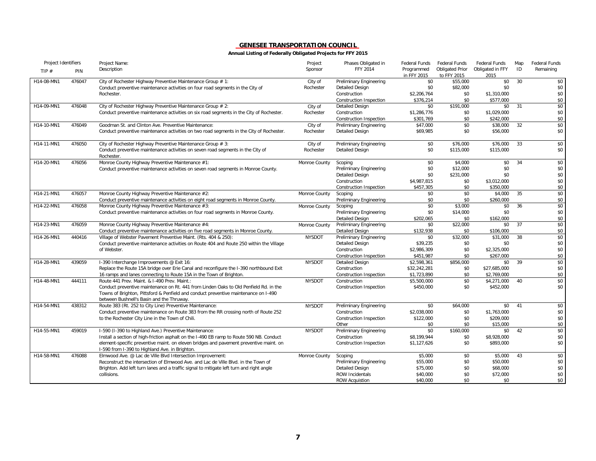| Project Identifiers |        | Project Name:                                                                                                                                                                                                             | Project       | Phases Obligated in            | Federal Funds             | <b>Federal Funds</b>           | <b>Federal Funds</b>     | Map | <b>Federal Funds</b> |
|---------------------|--------|---------------------------------------------------------------------------------------------------------------------------------------------------------------------------------------------------------------------------|---------------|--------------------------------|---------------------------|--------------------------------|--------------------------|-----|----------------------|
| TIP $#$             | PIN    | Description                                                                                                                                                                                                               | Sponsor       | FFY 2014                       | Programmed<br>in FFY 2015 | Obligated Prior<br>to FFY 2015 | Obligated in FFY<br>2015 | ID  | Remaining            |
| H14-08-MN1          | 476047 | City of Rochester Highway Preventive Maintenance Group # 1:                                                                                                                                                               | City of       | Preliminary Engineering        | \$0                       | \$55,000                       | \$0                      | 30  | \$0                  |
|                     |        | Conduct preventive maintenance activities on four road segments in the City of                                                                                                                                            | Rochester     | <b>Detailed Design</b>         | \$0                       | \$82,000                       | \$0                      |     | \$0                  |
|                     |        | Rochester.                                                                                                                                                                                                                |               | Construction                   | \$2,206,764               | \$0                            | \$1,310,000              |     | \$0                  |
|                     |        |                                                                                                                                                                                                                           |               | Construction Inspection        | \$376,214                 | \$0                            | \$577.000                |     | \$0                  |
| H14-09-MN1          | 476048 | City of Rochester Highway Preventive Maintenance Group # 2:                                                                                                                                                               | City of       | Detailed Design                | \$0                       | \$191,000                      | \$0                      | 31  | \$0                  |
|                     |        | Conduct preventive maintenance activities on six road segments in the City of Rochester.                                                                                                                                  | Rochester     | Construction                   | \$1,286,776               | \$0                            | \$1,029,000              |     | \$0                  |
|                     |        |                                                                                                                                                                                                                           |               | Construction Inspection        | \$301.769                 | \$0                            | \$242,000                |     | \$0                  |
| H14-10-MN1          | 476049 | Goodman St. and Clinton Ave. Preventive Maintenance:                                                                                                                                                                      | City of       | Preliminary Engineering        | \$47,000                  | \$0                            | \$38,000                 | 32  | \$0                  |
|                     |        | Conduct preventive maintenance activities on two road segments in the City of Rochester.                                                                                                                                  | Rochester     | <b>Detailed Design</b>         | \$69,985                  | \$0                            | \$56,000                 |     | \$0                  |
| H14-11-MN1          | 476050 | City of Rochester Highway Preventive Maintenance Group # 3:                                                                                                                                                               | City of       | <b>Preliminary Engineering</b> | \$0                       | \$76,000                       | \$76,000                 | 33  | \$0                  |
|                     |        | Conduct preventive maintenance activities on seven road segments in the City of<br>Rochester.                                                                                                                             | Rochester     | Detailed Design                | \$0                       | \$115,000                      | \$115,000                |     | \$0                  |
| H14-20-MN1          | 476056 | Monroe County Highway Preventive Maintenance #1:                                                                                                                                                                          | Monroe County | Scoping                        | \$0                       | \$4,000                        | \$0                      | 34  | \$0                  |
|                     |        | Conduct preventive maintenance activities on seven road segments in Monroe County.                                                                                                                                        |               | <b>Preliminary Engineering</b> | \$0                       | \$12,000                       | \$0                      |     | \$0                  |
|                     |        |                                                                                                                                                                                                                           |               | Detailed Design                | \$0                       | \$231,000                      | \$0                      |     | \$0                  |
|                     |        |                                                                                                                                                                                                                           |               | Construction                   | \$4,987,815               | \$0                            | \$3,012,000              |     | \$0                  |
|                     |        |                                                                                                                                                                                                                           |               | Construction Inspection        | \$457,305                 | \$0                            | \$350,000                |     | \$0                  |
| H14-21-MN1          | 476057 | Monroe County Highway Preventive Maintenance #2:                                                                                                                                                                          | Monroe County | Scoping                        | \$0                       | \$0                            | \$4,000                  | 35  | \$0                  |
|                     |        | Conduct preventive maintenance activities on eight road segments in Monroe County.                                                                                                                                        |               | Preliminary Engineering        | \$0                       | \$0                            | \$260,000                |     | \$0                  |
| H14-22-MN1          | 476058 | Monroe County Highway Preventive Maintenance #3:                                                                                                                                                                          | Monroe County | Scoping                        | \$0                       | \$3,000                        | \$0                      | 36  | \$0                  |
|                     |        | Conduct preventive maintenance activities on four road segments in Monroe County.                                                                                                                                         |               | Preliminary Engineering        | \$0                       | \$14,000                       | \$0                      |     | \$0                  |
|                     |        |                                                                                                                                                                                                                           |               | <b>Detailed Design</b>         | \$202,065                 | \$0                            | \$162,000                |     | \$0                  |
| H14-23-MN1          | 476059 | Monroe County Highway Preventive Maintenance #4:                                                                                                                                                                          | Monroe County | <b>Preliminary Engineering</b> | \$0                       | \$22,000                       | \$0                      | 37  | \$0                  |
|                     |        | Conduct preventive maintenance activities on five road segments in Monroe County.                                                                                                                                         |               | <b>Detailed Design</b>         | \$132,938                 | \$0                            | \$106,000                |     | \$0                  |
| H14-26-MN1          | 440416 | Village of Webster Pavement Preventive Maint. (Rts. 404 & 250):                                                                                                                                                           | <b>NYSDOT</b> | Preliminary Engineering        | \$0                       | \$32,000                       | \$31,000                 | 38  | \$0                  |
|                     |        | Conduct preventive maintenance activities on Route 404 and Route 250 within the Village                                                                                                                                   |               | <b>Detailed Design</b>         | \$39,235                  | \$0                            | \$0                      |     | \$0                  |
|                     |        | of Webster.                                                                                                                                                                                                               |               | Construction                   | \$2,986,309               | \$0                            | \$2,325,000              |     | \$0                  |
|                     |        |                                                                                                                                                                                                                           |               | Construction Inspection        | \$451,987                 | \$0                            | \$267.000                |     | \$0                  |
| H14-28-MN1          | 439059 | I-390 Interchange Improvements @ Exit 16:                                                                                                                                                                                 | <b>NYSDOT</b> | Detailed Design                | \$2,598,361               | \$856,000                      | \$0                      | 39  | \$0                  |
|                     |        | Replace the Route 15A bridge over Erie Canal and reconfigure the I-390 northbound Exit                                                                                                                                    |               | Construction                   | \$32,242,281              | \$0                            | \$27,685,000             |     | \$0                  |
|                     |        | 16 ramps and lanes connecting to Route 15A in the Town of Brighton.                                                                                                                                                       |               | Construction Inspection        | \$1,723,890               | \$0                            | \$2,769,000              |     | \$0                  |
| H14-48-MN1          | 444111 | Route 441 Prev. Maint. & I-490 Prev. Maint.:                                                                                                                                                                              | <b>NYSDOT</b> | Construction                   | \$5,500,000               | \$0                            | \$4,271,000              | 40  | \$0                  |
|                     |        | Conduct preventive maintenance on Rt. 441 from Linden Oaks to Old Penfield Rd. in the<br>Towns of Brighton, Pittsford & Penfield and conduct preventive maintenance on I-490<br>between Bushnell's Basin and the Thruway. |               | Construction Inspection        | \$450,000                 | \$0                            | \$452,000                |     | \$0                  |
| H14-54-MN1          | 438312 | Route 383 (Rt. 252 to City Line) Preventive Maintenance:                                                                                                                                                                  | <b>NYSDOT</b> | Preliminary Engineering        | \$0                       | \$64,000                       | \$0                      | 41  | \$0                  |
|                     |        | Conduct preventive maintenance on Route 383 from the RR crossing north of Route 252                                                                                                                                       |               | Construction                   | \$2,038,000               | \$0                            | \$1,763,000              |     | \$0                  |
|                     |        | to the Rochester City Line in the Town of Chili.                                                                                                                                                                          |               | Construction Inspection        | \$122,000                 | \$0                            | \$209,000                |     | \$0                  |
|                     |        |                                                                                                                                                                                                                           |               | Other                          | \$0                       | \$0                            | \$15,000                 |     | \$0                  |
| H14-55-MN1          | 459019 | I-590 (I-390 to Highland Ave.) Preventive Maintenance:                                                                                                                                                                    | <b>NYSDOT</b> | <b>Preliminary Engineering</b> | \$0                       | \$160,000                      | \$0                      | 42  | \$0                  |
|                     |        | Install a section of high-friction asphalt on the I-490 EB ramp to Route 590 NB. Conduct                                                                                                                                  |               | Construction                   | \$8,199,944               | \$0                            | \$8,928,000              |     | \$0                  |
|                     |        | element-specific preventive maint. on eleven bridges and pavement preventive maint. on<br>I-590 from I-390 to Highland Ave. in Brighton.                                                                                  |               | Construction Inspection        | \$1,127,626               | \$0                            | \$893,000                |     | \$0                  |
| H14-58-MN1          | 476088 | Elmwood Ave. @ Lac de Ville Blvd Intersection Improvement:                                                                                                                                                                | Monroe County | Scoping                        | \$5,000                   | \$0                            | \$5,000                  | 43  | \$0                  |
|                     |        | Reconstruct the intersection of Elmwood Ave, and Lac de Ville Blyd, in the Town of                                                                                                                                        |               | Preliminary Engineering        | \$55,000                  | \$0                            | \$50,000                 |     | \$0                  |
|                     |        | Brighton. Add left turn lanes and a traffic signal to mitigate left turn and right angle                                                                                                                                  |               | <b>Detailed Design</b>         | \$75,000                  | \$0                            | \$68,000                 |     | \$0                  |
|                     |        | collisions.                                                                                                                                                                                                               |               | <b>ROW Incidentals</b>         | \$40,000                  | \$0                            | \$72,000                 |     | \$0                  |
|                     |        |                                                                                                                                                                                                                           |               | <b>ROW Acquistion</b>          | \$40,000                  | \$0                            | \$0                      |     | \$0                  |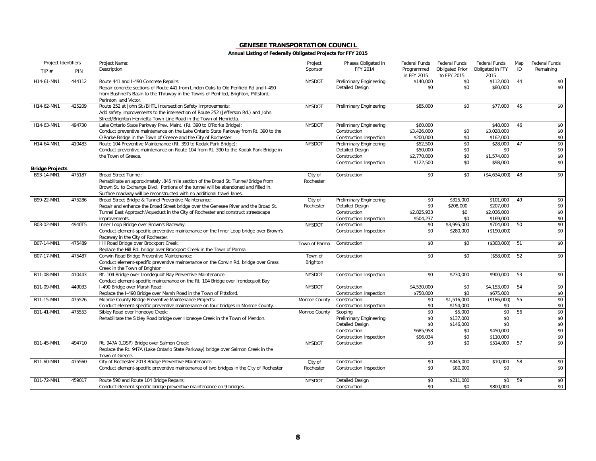| Project Identifiers    |        | Project Name:                                                                                                                                                                                                                                                                       | Project              | Phases Obligated in                                                                                     | <b>Federal Funds</b>                             | <b>Federal Funds</b>                            | Federal Funds                                      | Map | Federal Funds                   |
|------------------------|--------|-------------------------------------------------------------------------------------------------------------------------------------------------------------------------------------------------------------------------------------------------------------------------------------|----------------------|---------------------------------------------------------------------------------------------------------|--------------------------------------------------|-------------------------------------------------|----------------------------------------------------|-----|---------------------------------|
| TIP $#$                | PIN    | Description                                                                                                                                                                                                                                                                         | Sponsor              | FFY 2014                                                                                                | Programmed<br>in FFY 2015                        | Obligated Prior<br>to FFY 2015                  | Obligated in FFY<br>2015                           | ID  | Remaining                       |
| H14-61-MN1             | 444112 | Route 441 and I-490 Concrete Repairs:<br>Repair concrete sections of Route 441 from Linden Oaks to Old Penfield Rd and I-490<br>from Bushnell's Basin to the Thruway in the Towns of Penfiled, Brighton, Pittsford,<br>Perinton, and Victor.                                        | <b>NYSDOT</b>        | <b>Preliminary Engineering</b><br><b>Detailed Design</b>                                                | \$140,000<br>\$0                                 | \$0<br>\$0                                      | \$112,000<br>\$80,000                              | 44  | \$0<br>\$0                      |
| H14-62-MN1             | 425209 | Route 252 at John St./BHTL Intersection Safety Improvements:<br>Add safety improvements to the intersection of Route 252 (Jefferson Rd.) and John<br>Street/Brighton Henrietta Town Line Road in the Town of Henrietta.                                                             | <b>NYSDOT</b>        | <b>Preliminary Engineering</b>                                                                          | \$85,000                                         | \$0                                             | \$77,000                                           | 45  | \$0                             |
| H14-63-MN1             | 494730 | Lake Ontario State Parkway Prev. Maint. (Rt. 390 to O'Rorke Bridge):<br>Conduct preventive maintenance on the Lake Ontario State Parkway from Rt. 390 to the<br>O'Rorke Bridge in the Town of Greece and the City of Rochester.                                                     | <b>NYSDOT</b>        | Preliminary Engineering<br>Construction<br>Construction Inspection                                      | \$60,000<br>\$3,426,000<br>\$200,000             | \$0<br>\$0                                      | \$48,000<br>\$3,028,000<br>\$162,000               | 46  | \$0<br>\$0<br>\$0               |
| H14-64-MN1             | 410483 | Route 104 Preventive Maintenance (Rt. 390 to Kodak Park Bridge):<br>Conduct preventive maintenance on Route 104 from Rt. 390 to the Kodak Park Bridge in<br>the Town of Greece.                                                                                                     | <b>NYSDOT</b>        | Preliminary Engineering<br><b>Detailed Design</b><br>Construction<br>Construction Inspection            | \$52,500<br>\$50,000<br>\$2,770,000<br>\$122,500 | \$0<br>\$0<br>\$0<br>\$0                        | \$28,000<br>\$0<br>\$1,574,000<br>\$98,000         | 47  | \$0<br>\$0<br>\$0<br>\$0        |
| <b>Bridge Projects</b> |        |                                                                                                                                                                                                                                                                                     |                      |                                                                                                         |                                                  |                                                 |                                                    |     |                                 |
| B93-14-MN1             | 475187 | <b>Broad Street Tunnel:</b><br>Rehabilitate an approximately .845 mile section of the Broad St. Tunnel/Bridge from<br>Brown St. to Exchange Blvd. Portions of the tunnel will be abandoned and filled in.<br>Surface roadway will be reconstructed with no additional travel lanes. | City of<br>Rochester | Construction                                                                                            | \$0                                              | \$0                                             | (\$4,634,000)                                      | 48  | \$0                             |
| B99-22-MN1             | 475286 | Broad Street Bridge & Tunnel Preventive Maintenance:<br>Repair and enhance the Broad Street bridge over the Genesee River and the Broad St.<br>Tunnel East Approach/Aqueduct in the City of Rochester and construct streetscape<br>improvements.                                    | City of<br>Rochester | Preliminary Engineering<br><b>Detailed Design</b><br>Construction<br>Construction Inspection            | \$0<br>\$0<br>\$2,825,933<br>\$504,237           | \$325,000<br>\$208,000<br>\$0<br>\$0            | \$101,000<br>\$207,000<br>\$2,036,000<br>\$169,000 | 49  | \$0<br>\$0<br>\$0<br>\$0        |
| B03-02-MN1             | 4940T5 | Inner Loop Bridge over Brown's Raceway:<br>Conduct element-specific preventive maintenance on the Inner Loop bridge over Brown's<br>Raceway in the City of Rochester.                                                                                                               | <b>NYSDOT</b>        | Construction<br>Construction Inspection                                                                 | \$0<br>\$0                                       | \$3,995,000<br>\$280,000                        | \$704,000<br>(\$190,000)                           | 50  | \$0<br>\$0                      |
| B07-14-MN1             | 475489 | Hill Road Bridge over Brockport Creek:<br>Replace the Hill Rd. bridge over Brockport Creek in the Town of Parma                                                                                                                                                                     | Town of Parma        | Construction                                                                                            | \$0                                              | \$0                                             | (\$303,000)                                        | 51  | \$0                             |
| B07-17-MN1             | 475487 | Corwin Road Bridge Preventive Maintenance:<br>Conduct element-specific preventive maintenance on the Corwin Rd. bridge over Grass<br>Creek in the Town of Brighton                                                                                                                  | Town of<br>Brighton  | Construction                                                                                            | \$0                                              | \$0                                             | (\$58,000)                                         | 52  | \$0                             |
| B11-08-MN1             | 410443 | Rt. 104 Bridge over Irondequoit Bay Preventive Maintenance:<br>Conduct element-specific maintenance on the Rt. 104 Bridge over Irondequoit Bay                                                                                                                                      | <b>NYSDOT</b>        | Construction Inspection                                                                                 | \$0                                              | \$230,000                                       | \$900,000                                          | 53  | \$0                             |
| B11-09-MN1             | 449033 | I-490 Bridge over Marsh Road:<br>Replace the I-490 Bridge over Marsh Road in the Town of Pittsford.                                                                                                                                                                                 | <b>NYSDOT</b>        | Construction<br>Construction Inspection                                                                 | \$4,530,000<br>\$750,000                         | \$0<br>\$0                                      | \$4,153,000<br>\$675,000                           | 54  | \$0<br>\$0                      |
| B11-15-MN1             | 475526 | Monroe County Bridge Preventive Maintenance Projects:<br>Conduct element-specific preventive maintenance on four bridges in Monroe County.                                                                                                                                          | Monroe County        | Construction<br>Construction Inspection                                                                 | \$0<br>\$0                                       | \$1,516,000<br>\$154,000                        | (\$186,000)<br>\$0                                 | 55  | \$0<br>\$0                      |
| B11-41-MN1             | 475553 | Sibley Road over Honeoye Creek:<br>Rehabilitate the Sibley Road bridge over Honeoye Creek in the Town of Mendon.                                                                                                                                                                    | Monroe County        | Scoping<br>Preliminary Engineering<br><b>Detailed Design</b><br>Construction<br>Construction Inspection | \$0<br>\$0<br>\$0<br>\$685,958<br>\$96,034       | \$5,000<br>\$137,000<br>\$146,000<br>\$0<br>\$0 | \$0<br>\$0<br>\$0<br>\$450,000<br>\$110,000        | 56  | \$0<br>\$0<br>\$0<br>\$0<br>\$0 |
| B11-45-MN1             | 494710 | Rt. 947A (LOSP) Bridge over Salmon Creek:<br>Replace the Rt. 947A (Lake Ontario State Parkway) bridge over Salmon Creek in the<br>Town of Greece.                                                                                                                                   | <b>NYSDOT</b>        | Construction                                                                                            | \$0                                              | \$0                                             | \$514,000                                          | 57  | \$0                             |
| B11-60-MN1             | 475560 | City of Rochester 2013 Bridge Preventive Maintenance:<br>Conduct element-specific preventive maintenance of two bridges in the City of Rochester                                                                                                                                    | City of<br>Rochester | Construction<br>Construction Inspection                                                                 | \$0<br>\$0                                       | \$445.000<br>\$80,000                           | \$10,000<br>\$0                                    | 58  | \$0<br>\$0                      |
| B11-72-MN1             | 459017 | Route 590 and Route 104 Bridge Repairs:<br>Conduct element-specific bridge preventive maintenance on 9 bridges                                                                                                                                                                      | <b>NYSDOT</b>        | <b>Detailed Design</b><br>Construction                                                                  | \$0<br>\$0                                       | \$211,000<br>\$0                                | \$0<br>\$800,000                                   | 59  | \$0<br>\$0                      |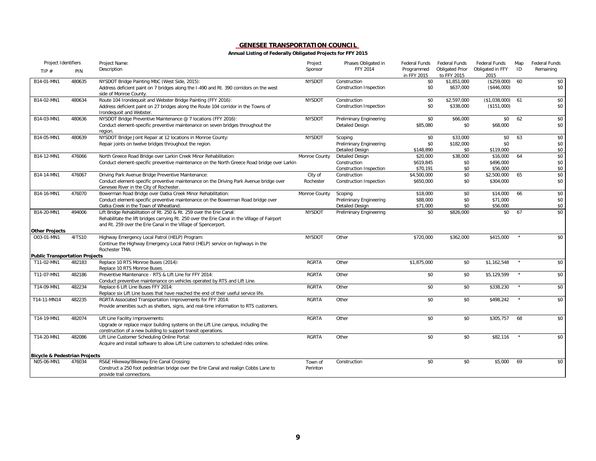| Project Identifiers                      |        | Project Name:                                                                                                                                                                                                                           | Project       | Phases Obligated in     | <b>Federal Funds</b>      | Federal Funds                         | Federal Funds            | Map     | Federal Funds |
|------------------------------------------|--------|-----------------------------------------------------------------------------------------------------------------------------------------------------------------------------------------------------------------------------------------|---------------|-------------------------|---------------------------|---------------------------------------|--------------------------|---------|---------------|
| TIP $#$                                  | PIN    | Description                                                                                                                                                                                                                             | Sponsor       | FFY 2014                | Programmed<br>in FFY 2015 | <b>Obligated Prior</b><br>to FFY 2015 | Obligated in FFY<br>2015 | ID      | Remaining     |
| B14-01-MN1                               | 480635 | NYSDOT Bridge Painting MbC (West Side, 2015):                                                                                                                                                                                           | <b>NYSDOT</b> | Construction            | \$0                       | \$1,851,000                           | (\$259,000)              | 60      | \$0           |
|                                          |        | Address deficient paint on 7 bridges along the I-490 and Rt. 390 corridors on the west<br>side of Monroe County.                                                                                                                        |               | Construction Inspection | \$0                       | \$637,000                             | $(*446,000)$             |         | \$0           |
| B14-02-MN1                               | 480634 | Route 104 Irondequoit and Webster Bridge Painting (FFY 2016):                                                                                                                                                                           | <b>NYSDOT</b> | Construction            | \$0                       | \$2,597,000                           | (\$1,038,000)            | 61      | \$0           |
|                                          |        | Address deficient paint on 27 bridges along the Route 104 corridor in the Towns of<br>Irondequoit and Webster.                                                                                                                          |               | Construction Inspection | \$0                       | \$338,000                             | (\$151,000)              |         | \$0           |
| B14-03-MN1                               | 480636 | NYSDOT Bridge Preventive Maintenance @ 7 locations (FFY 2016):                                                                                                                                                                          | <b>NYSDOT</b> | Preliminary Engineering | \$0                       | \$66,000                              | \$0                      | 62      | \$0           |
|                                          |        | Conduct element-specific preventive maintenance on seven bridges throughout the<br>region.                                                                                                                                              |               | <b>Detailed Design</b>  | \$85,080                  | \$0                                   | \$68,000                 |         | \$0           |
| B14-05-MN1                               | 480639 | NYSDOT Bridge Joint Repair at 12 locations in Monroe County:                                                                                                                                                                            | <b>NYSDOT</b> | Scoping                 | \$0                       | \$33,000                              | \$0                      | 63      | \$0           |
|                                          |        | Repair joints on twelve bridges throughout the region.                                                                                                                                                                                  |               | Preliminary Engineering | \$0                       | \$182,000                             | \$0                      |         | \$0           |
|                                          |        |                                                                                                                                                                                                                                         |               | <b>Detailed Design</b>  | \$148.890                 | \$0                                   | \$119,000                |         | \$0           |
| B14-12-MN1                               | 476066 | North Greece Road Bridge over Larkin Creek Minor Rehabilitation:                                                                                                                                                                        | Monroe County | Detailed Design         | \$20,000                  | \$38,000                              | \$16,000                 | 64      | \$0           |
|                                          |        | Conduct element-specific preventive maintenance on the North Greece Road bridge over Larkin                                                                                                                                             |               | Construction            | \$619,845                 | \$0                                   | \$496,000                |         | \$0           |
|                                          |        |                                                                                                                                                                                                                                         |               | Construction Inspection | \$70.191                  | \$0                                   | \$56,000                 |         | \$0           |
| B14-14-MN1                               | 476067 | Driving Park Avenue Bridge Preventive Maintenance:                                                                                                                                                                                      | City of       | Construction            | \$4,500,000               | \$0                                   | \$2,500,000              | 65      | \$0           |
|                                          |        | Conduct element-specific preventive maintenance on the Driving Park Avenue bridge over<br>Genesee River in the City of Rochester.                                                                                                       | Rochester     | Construction Inspection | \$650,000                 | \$0                                   | \$304,000                |         | \$0           |
| B14-16-MN1                               | 476070 | Bowerman Road Bridge over Oatka Creek Minor Rehabilitation:                                                                                                                                                                             | Monroe County | Scoping                 | \$18,000                  | \$0                                   | \$14,000                 | 66      | \$0           |
|                                          |        | Conduct element-specific preventive maintenance on the Bowerman Road bridge over                                                                                                                                                        |               | Preliminary Engineering | \$88,000                  | \$0                                   | \$71,000                 |         | \$0           |
|                                          |        | Oatka Creek in the Town of Wheatland.                                                                                                                                                                                                   |               | <b>Detailed Design</b>  | \$71,000                  | \$0                                   | \$56,000                 |         | \$0           |
| B14-20-MN1                               | 494006 | Lift Bridge Rehabilitation of Rt. 250 & Rt. 259 over the Erie Canal:<br>Rehabilitate the lift bridges carrying Rt. 250 over the Erie Canal in the Village of Fairport<br>and Rt. 259 over the Erie Canal in the Village of Spencerport. | <b>NYSDOT</b> | Preliminary Engineering | \$0                       | \$826,000                             | \$0                      | 67      | \$0           |
| <b>Other Projects</b>                    |        |                                                                                                                                                                                                                                         |               |                         |                           |                                       |                          |         |               |
| O03-01-MN1                               | 41TS10 | Highway Emergency Local Patrol (HELP) Program:<br>Continue the Highway Emergency Local Patrol (HELP) service on highways in the<br>Rochester TMA.                                                                                       | <b>NYSDOT</b> | Other                   | \$720,000                 | \$362,000                             | \$415,000                |         | \$0           |
| <b>Public Transportation Projects</b>    |        |                                                                                                                                                                                                                                         |               |                         |                           |                                       |                          |         |               |
| T11-02-MN1                               | 482183 | Replace 10 RTS Monroe Buses (2014):<br>Replace 10 RTS Monroe Buses.                                                                                                                                                                     | <b>RGRTA</b>  | Other                   | \$1,875,000               | \$0                                   | \$1,162,548              |         | \$0           |
| T11-07-MN1                               | 482186 | Preventive Maintenance - RTS & Lift Line for FFY 2014:<br>Conduct preventive maintenance on vehicles operated by RTS and Lift Line.                                                                                                     | <b>RGRTA</b>  | Other                   | \$0                       | \$0                                   | \$5,129,599              | $\star$ | \$0           |
| T14-09-MN1                               | 482234 | Replace 6 Lift Line Buses FFY 2014:<br>Replace six Lift Line buses that have reached the end of their useful service life.                                                                                                              | <b>RGRTA</b>  | Other                   | \$0                       | \$0                                   | \$338,230                |         | \$0           |
| T14-11-MN14                              | 482235 | RGRTA Associated Transportation Improvements for FFY 2014:                                                                                                                                                                              | <b>RGRTA</b>  | Other                   | \$0                       | \$0                                   | \$498,242                |         | \$0           |
|                                          |        | Provide amenities such as shelters, signs, and real-time information to RTS customers.                                                                                                                                                  |               |                         |                           |                                       |                          |         |               |
| T14-19-MN1                               | 482074 | Lift Line Facility Improvements:                                                                                                                                                                                                        | <b>RGRTA</b>  | Other                   | \$0                       | \$0                                   | \$305,757                | 68      | \$0           |
|                                          |        | Upgrade or replace major building systems on the Lift Line campus, including the                                                                                                                                                        |               |                         |                           |                                       |                          |         |               |
|                                          |        | construction of a new building to support transit operations.                                                                                                                                                                           |               |                         |                           |                                       |                          |         |               |
| T14-20-MN1                               | 482086 | Lift Line Customer Scheduling Online Portal:<br>Acquire and install software to allow Lift Line customers to scheduled rides online.                                                                                                    | <b>RGRTA</b>  | Other                   | \$0                       | \$0                                   | \$82,116                 |         | \$0           |
| <b>Bicycle &amp; Pedestrian Projects</b> |        |                                                                                                                                                                                                                                         |               |                         |                           |                                       |                          |         |               |
| N05-06-MN1                               | 476034 | RS&E Hikeway/Bikeway Erie Canal Crossing:                                                                                                                                                                                               | Town of       | Construction            | \$0                       | \$0                                   | \$5,000                  | 69      | \$0           |
|                                          |        | Construct a 250 foot pedestrian bridge over the Erie Canal and realign Cobbs Lane to<br>provide trail connections.                                                                                                                      | Perinton      |                         |                           |                                       |                          |         |               |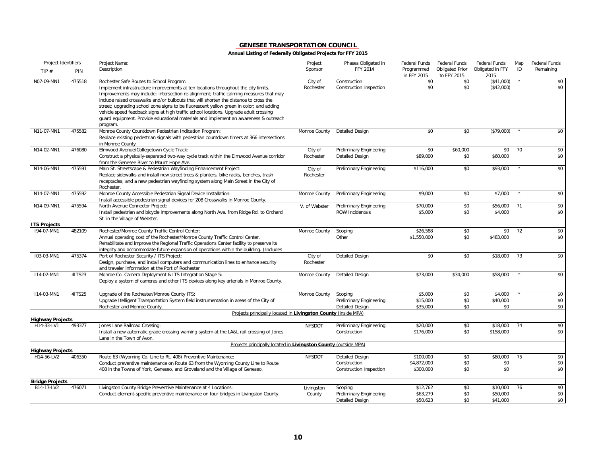| Project Identifiers                   |        | Project Name:                                                                                                                                                                                                                                                                                                                                                                                                                                                                                                                                                                                             | Project              | Phases Obligated in                                          | <b>Federal Funds</b>             | Federal Funds                         | Federal Funds                    | Map        | Federal Funds     |
|---------------------------------------|--------|-----------------------------------------------------------------------------------------------------------------------------------------------------------------------------------------------------------------------------------------------------------------------------------------------------------------------------------------------------------------------------------------------------------------------------------------------------------------------------------------------------------------------------------------------------------------------------------------------------------|----------------------|--------------------------------------------------------------|----------------------------------|---------------------------------------|----------------------------------|------------|-------------------|
| TIP $#$                               | PIN    | Description                                                                                                                                                                                                                                                                                                                                                                                                                                                                                                                                                                                               | Sponsor              | <b>FFY 2014</b>                                              | Programmed<br>in FFY 2015        | <b>Obligated Prior</b><br>to FFY 2015 | Obligated in FFY<br>2015         | ID         | Remaining         |
| N07-09-MN1                            | 475518 | Rochester Safe Routes to School Program:<br>Implement infrastructure improvements at ten locations throughout the city limits.<br>Improvements may include: intersection re-alignment; traffic calming measures that may<br>include raised crosswalks and/or bulbouts that will shorten the distance to cross the<br>street; upgrading school zone signs to be fluorescent yellow green in color; and adding<br>vehicle speed feedback signs at high traffic school locations. Upgrade adult crossing<br>guard equipment. Provide educational materials and implement an awareness & outreach<br>program. | City of<br>Rochester | Construction<br>Construction Inspection                      | \$0<br>\$0                       | \$0<br>\$0                            | (\$41,000)<br>(\$42,000)         | $^{\star}$ | \$0<br>\$0        |
| N11-07-MN1                            | 475582 | Monroe County Countdown Pedestrian Indication Program:<br>Replace existing pedestrian signals with pedestrian countdown timers at 366 intersections<br>in Monroe County                                                                                                                                                                                                                                                                                                                                                                                                                                   | Monroe County        | <b>Detailed Design</b>                                       | \$0                              | \$0                                   | (\$79,000)                       |            | \$0               |
| N14-02-MN1                            | 476080 | Elmwood Avenue/Collegetown Cycle Track:<br>Construct a physically-separated two-way cycle track within the Elmwood Avenue corridor<br>from the Genesee River to Mount Hope Ave.                                                                                                                                                                                                                                                                                                                                                                                                                           | City of<br>Rochester | Preliminary Engineering<br><b>Detailed Design</b>            | \$0<br>\$89,000                  | \$60,000<br>\$0                       | \$0<br>\$60,000                  | 70         | \$0<br>\$0        |
| N14-06-MN1                            | 475591 | Main St. Streetscape & Pedestrian Wayfinding Enhancement Project:<br>Replace sidewalks and install new street trees & planters, bike racks, benches, trash<br>receptacles, and a new pedestrian wayfinding system along Main Street in the City of<br>Rochester.                                                                                                                                                                                                                                                                                                                                          | City of<br>Rochester | Preliminary Engineering                                      | \$116,000                        | \$0                                   | \$93,000                         |            | \$0               |
| N14-07-MN1                            | 475592 | Monroe County Accessible Pedestrian Signal Device Installation:<br>Install accessible pedestrian signal devices for 208 Crosswalks in Monroe County.                                                                                                                                                                                                                                                                                                                                                                                                                                                      | Monroe County        | Preliminary Engineering                                      | \$9,000                          | \$0                                   | \$7,000                          | $\star$    | \$0               |
| N14-09-MN1                            | 475594 | North Avenue Connector Project:<br>Install pedestrian and bicycle improvements along North Ave. from Ridge Rd. to Orchard<br>St. in the Village of Webster.                                                                                                                                                                                                                                                                                                                                                                                                                                               | V. of Webster        | Preliminary Engineering<br>ROW Incidentals                   | \$70,000<br>\$5,000              | \$0<br>\$0                            | \$56,000<br>\$4,000              | 71         | \$0<br>\$0        |
| <b>ITS Projects</b>                   |        |                                                                                                                                                                                                                                                                                                                                                                                                                                                                                                                                                                                                           |                      |                                                              |                                  |                                       |                                  |            |                   |
| 194-07-MN1                            | 482109 | Rochester/Monroe County Traffic Control Center:<br>Annual operating cost of the Rochester/Monroe County Traffic Control Center.<br>Rehabilitate and improve the Regional Traffic Operations Center facility to preserve its<br>integrity and accommodate future expansion of operations within the building. (Includes                                                                                                                                                                                                                                                                                    | Monroe County        | Scoping<br>Other                                             | \$26,588<br>\$1,550,000          | \$0<br>\$0                            | \$0<br>\$483,000                 | 72         | \$0<br>\$0        |
| 103-03-MN1                            | 475374 | Port of Rochester Security / ITS Project:<br>Design, purchase, and install computers and communication lines to enhance security<br>and traveler information at the Port of Rochester                                                                                                                                                                                                                                                                                                                                                                                                                     | City of<br>Rochester | <b>Detailed Design</b>                                       | \$0                              | \$0                                   | \$18,000                         | 73         | \$0               |
| I14-02-MN1                            | 4ITS23 | Monroe Co. Camera Deployment & ITS Integration Stage 5:<br>Deploy a system of cameras and other ITS devices along key arterials in Monroe County.                                                                                                                                                                                                                                                                                                                                                                                                                                                         | Monroe County        | Detailed Design                                              | \$73,000                         | \$34,000                              | \$58,000                         | $\star$    | \$0               |
| I14-03-MN1                            | 41TS25 | Upgrade of the Rochester/Monroe County ITS:<br>Upgrade Itelligent Transportation System field instrumentation in areas of the City of<br>Rochester and Monroe County.                                                                                                                                                                                                                                                                                                                                                                                                                                     | Monroe County        | Scoping<br>Preliminary Engineering<br><b>Detailed Design</b> | \$5,000<br>\$15,000<br>\$35,000  | \$0<br>\$0<br>\$0                     | \$4,000<br>\$40,000<br>\$0       |            | \$0<br>\$0<br>\$0 |
|                                       |        | Projects principally located in Livingston County (inside MPA)                                                                                                                                                                                                                                                                                                                                                                                                                                                                                                                                            |                      |                                                              |                                  |                                       |                                  |            |                   |
| <b>Highway Projects</b><br>H14-33-LV1 | 493377 | Jones Lane Railroad Crossing:<br>Install a new automatic grade crossing warning system at the LA&L rail crossing of Jones<br>Lane in the Town of Avon.                                                                                                                                                                                                                                                                                                                                                                                                                                                    | <b>NYSDOT</b>        | Preliminary Engineering<br>Construction                      | \$20,000<br>\$176,000            | \$0<br>\$0                            | \$18,000<br>\$158,000            | 74         | \$0<br>\$0        |
|                                       |        | Projects principally located in Livingston County (outside MPA)                                                                                                                                                                                                                                                                                                                                                                                                                                                                                                                                           |                      |                                                              |                                  |                                       |                                  |            |                   |
| <b>Highway Projects</b><br>H14-56-LV2 | 406350 | Route 63 (Wyoming Co. Line to Rt. 408) Preventive Maintenance:                                                                                                                                                                                                                                                                                                                                                                                                                                                                                                                                            | <b>NYSDOT</b>        | Detailed Design                                              | \$100,000                        | \$0                                   | \$80,000                         | 75         | \$0               |
|                                       |        | Conduct preventive maintenance on Route 63 from the Wyoming County Line to Route<br>408 in the Towns of York, Geneseo, and Groveland and the Village of Geneseo.                                                                                                                                                                                                                                                                                                                                                                                                                                          |                      | Construction<br>Construction Inspection                      | \$4,872,000<br>\$300,000         | \$0<br>\$0                            | \$0<br>\$0                       |            | \$0<br>\$0        |
| <b>Bridge Projects</b>                |        |                                                                                                                                                                                                                                                                                                                                                                                                                                                                                                                                                                                                           |                      |                                                              |                                  |                                       |                                  |            |                   |
| B14-17-LV2                            | 476071 | Livingston County Bridge Preventive Maintenance at 4 Locations:<br>Conduct element-specific preventive maintenance on four bridges in Livingston County.                                                                                                                                                                                                                                                                                                                                                                                                                                                  | Livingston<br>County | Scoping<br>Preliminary Engineering<br><b>Detailed Design</b> | \$12,762<br>\$63,279<br>\$50,623 | \$0<br>\$0<br>\$0                     | \$10,000<br>\$50,000<br>\$41,000 | 76         | \$0<br>\$0<br>\$0 |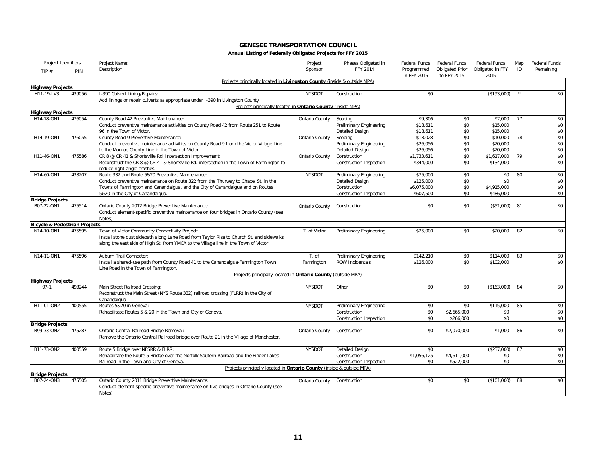| Project Identifiers                      |        | Project Name:                                                                                                   | Project               | Phases Obligated in                | <b>Federal Funds</b>      | <b>Federal Funds</b>                  | Federal Funds            | Map | Federal Funds |
|------------------------------------------|--------|-----------------------------------------------------------------------------------------------------------------|-----------------------|------------------------------------|---------------------------|---------------------------------------|--------------------------|-----|---------------|
| TIP $#$                                  | PIN    | Description                                                                                                     | Sponsor               | FFY 2014                           | Programmed<br>in FFY 2015 | <b>Obligated Prior</b><br>to FFY 2015 | Obligated in FFY<br>2015 | ID  | Remaining     |
| <b>Highway Projects</b>                  |        | Projects principally located in Livingston County (inside & outside MPA)                                        |                       |                                    |                           |                                       |                          |     |               |
| H11-19-LV3                               | 439056 | I-390 Culvert Lining/Repairs:<br>Add linings or repair culverts as appropriate under I-390 in Livingston County | <b>NYSDOT</b>         | Construction                       | \$0                       |                                       | (\$193,000)              |     | \$0           |
|                                          |        | Projects principally located in Ontario County (inside MPA)                                                     |                       |                                    |                           |                                       |                          |     |               |
| <b>Highway Projects</b><br>H14-18-ON1    | 476054 | County Road 42 Preventive Maintenance:                                                                          |                       |                                    | \$9,306                   | \$0                                   | \$7,000                  | 77  | \$0           |
|                                          |        | Conduct preventive maintenance activities on County Road 42 from Route 251 to Route                             | Ontario County        | Scoping<br>Preliminary Engineering | \$18,611                  | \$0                                   | \$15,000                 |     | \$0           |
|                                          |        | 96 in the Town of Victor.                                                                                       |                       | Detailed Design                    | \$18,611                  | \$0                                   | \$15,000                 |     | \$0           |
| H14-19-ON1                               | 476055 | County Road 9 Preventive Maintenance:                                                                           | <b>Ontario County</b> | Scoping                            | \$13,028                  | \$0                                   | \$10,000                 | 78  | \$0           |
|                                          |        | Conduct preventive maintenance activities on County Road 9 from the Victor Village Line                         |                       | Preliminary Engineering            | \$26,056                  | \$0                                   | \$20,000                 |     | \$0           |
|                                          |        | to the Monroe County Line in the Town of Victor.                                                                |                       | Detailed Design                    | \$26,056                  | \$0                                   | \$20,000                 |     | \$0           |
| H11-46-ON1                               | 475586 | CR 8 @ CR 41 & Shortsville Rd. Intersection Improvement:                                                        | <b>Ontario County</b> | Construction                       | \$1,733,611               | \$0                                   | \$1,617,000              | 79  | \$0           |
|                                          |        | Reconstruct the CR 8 @ CR 41 & Shortsville Rd. intersection in the Town of Farmington to                        |                       | Construction Inspection            | \$344,000                 | \$0                                   | \$134,000                |     | \$0           |
|                                          |        | reduce right-angle crashes.                                                                                     |                       |                                    |                           |                                       |                          |     |               |
| H14-60-ON1                               | 433207 | Route 332 and Route 5&20 Preventive Maintenance:                                                                | <b>NYSDOT</b>         | Preliminary Engineering            | \$75,000                  | \$0                                   | \$0                      | 80  | \$0           |
|                                          |        | Conduct preventive maintenance on Route 322 from the Thurway to Chapel St. in the                               |                       | <b>Detailed Design</b>             | \$125,000                 | \$0                                   | \$0                      |     | \$0           |
|                                          |        | Towns of Farmington and Canandaigua, and the City of Canandaigua and on Routes                                  |                       | Construction                       | \$6,075,000               | \$0                                   | \$4,915,000              |     | \$0           |
|                                          |        | 5&20 in the City of Canandaigua.                                                                                |                       | Construction Inspection            | \$607,500                 | \$0                                   | \$486,000                |     | \$0           |
| <b>Bridge Projects</b>                   |        |                                                                                                                 |                       |                                    |                           |                                       |                          |     |               |
| B07-22-ON1                               | 475514 | Ontario County 2012 Bridge Preventive Maintenance:                                                              | Ontario County        | Construction                       | \$0                       | \$0                                   | (\$51,000)               | 81  | \$0           |
|                                          |        | Conduct element-specific preventive maintenance on four bridges in Ontario County (see<br>Notes)                |                       |                                    |                           |                                       |                          |     |               |
| <b>Bicycle &amp; Pedestrian Projects</b> |        |                                                                                                                 |                       |                                    |                           |                                       |                          |     |               |
| N14-10-ON1                               | 475595 | Town of Victor Community Connectivity Project:                                                                  | T. of Victor          | <b>Preliminary Engineering</b>     | \$25,000                  | \$0                                   | \$20,000                 | 82  | \$0           |
|                                          |        | Install stone dust sidepath along Lane Road from Taylor Rise to Church St. and sidewalks                        |                       |                                    |                           |                                       |                          |     |               |
|                                          |        | along the east side of High St. from YMCA to the Village line in the Town of Victor.                            |                       |                                    |                           |                                       |                          |     |               |
|                                          |        |                                                                                                                 |                       |                                    |                           |                                       |                          |     |               |
| N14-11-ON1                               | 475596 | Auburn Trail Connector:                                                                                         | T. of                 | Preliminary Engineering            | \$142,210                 | \$0                                   | \$114,000                | 83  | \$0           |
|                                          |        | Install a shared-use path from County Road 41 to the Canandaigua-Farmington Town                                | Farmington            | ROW Incidentals                    | \$126,000                 | \$0                                   | \$102,000                |     | \$0           |
|                                          |        | Line Road in the Town of Farmington.                                                                            |                       |                                    |                           |                                       |                          |     |               |
| <b>Highway Projects</b>                  |        | Projects principally located in Ontario County (outside MPA)                                                    |                       |                                    |                           |                                       |                          |     |               |
| $97-1$                                   | 493244 | Main Street Railroad Crossing:                                                                                  | <b>NYSDOT</b>         | Other                              | \$0                       | \$0                                   | (\$163,000)              | 84  | \$0           |
|                                          |        | Reconstruct the Main Street (NYS Route 332) railroad crossing (FLRR) in the City of                             |                       |                                    |                           |                                       |                          |     |               |
|                                          |        | Canandaigua                                                                                                     |                       |                                    |                           |                                       |                          |     |               |
| H11-01-ON2                               | 400555 | Routes 5&20 in Geneva:                                                                                          | <b>NYSDOT</b>         | Preliminary Engineering            | \$0                       | \$0                                   | \$115,000                | 85  | \$0           |
|                                          |        | Rehabilitate Routes 5 & 20 in the Town and City of Geneva.                                                      |                       | Construction                       | \$0                       | \$2,665,000                           | \$0                      |     | \$0           |
|                                          |        |                                                                                                                 |                       | Construction Inspection            | \$0                       | \$266,000                             | \$0                      |     | \$0           |
| <b>Bridge Projects</b>                   |        |                                                                                                                 |                       |                                    |                           |                                       |                          |     |               |
| B99-33-ON2                               | 475287 | Ontario Central Railroad Bridge Removal:                                                                        | Ontario County        | Construction                       | \$0                       | \$2,070,000                           | \$1,000                  | 86  | \$0           |
|                                          |        | Remove the Ontario Central Railroad bridge over Route 21 in the Village of Manchester.                          |                       |                                    |                           |                                       |                          |     |               |
| B11-73-ON2                               | 400559 | Route 5 Bridge over NFSRR & FLRR:                                                                               | <b>NYSDOT</b>         | <b>Detailed Design</b>             | \$0                       |                                       | (\$237,000)              | 87  | \$0           |
|                                          |        | Rehabilitate the Route 5 Bridge over the Norfolk Soutern Railroad and the Finger Lakes                          |                       | Construction                       | \$1,056,125               | \$4,611,000                           | \$0                      |     | \$0           |
|                                          |        | Railroad in the Town and City of Geneva.                                                                        |                       | Construction Inspection            | \$0                       | \$522,000                             | \$0                      |     | \$0           |
| <b>Bridge Projects</b>                   |        | Projects principally located in Ontario County (inside & outside MPA)                                           |                       |                                    |                           |                                       |                          |     |               |
| B07-24-ON3                               | 475505 | Ontario County 2011 Bridge Preventive Maintenance:                                                              | Ontario County        | Construction                       | \$0                       | \$0                                   | (\$101,000)              | 88  | \$0           |
|                                          |        | Conduct element-specific preventive maintenance on five bridges in Ontario County (see                          |                       |                                    |                           |                                       |                          |     |               |
|                                          |        | Notes)                                                                                                          |                       |                                    |                           |                                       |                          |     |               |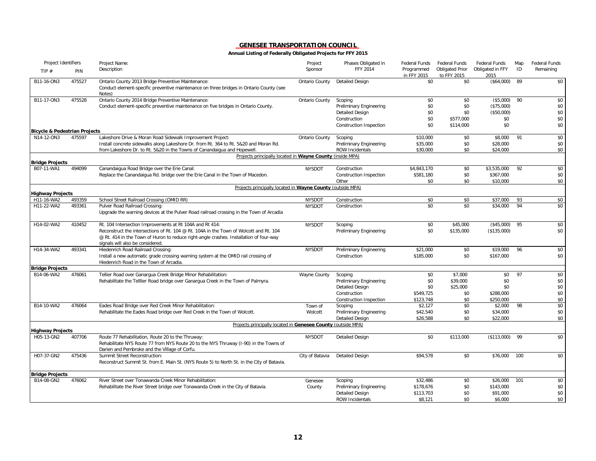| Project Identifiers                                    |        | Project Name:                                                                                                                                           | Project         | Phases Obligated in                    | Federal Funds             | <b>Federal Funds</b>                  | Federal Funds            | Map      | Federal Funds |
|--------------------------------------------------------|--------|---------------------------------------------------------------------------------------------------------------------------------------------------------|-----------------|----------------------------------------|---------------------------|---------------------------------------|--------------------------|----------|---------------|
| TIP#                                                   | PIN    | Description                                                                                                                                             | Sponsor         | FFY 2014                               | Programmed<br>in FFY 2015 | <b>Obligated Prior</b><br>to FFY 2015 | Obligated in FFY<br>2015 | ID       | Remaining     |
| B11-16-ON3                                             | 475527 | Ontario County 2013 Bridge Preventive Maintenance:<br>Conduct element-specific preventive maintenance on three bridges in Ontario County (see<br>Notes) | Ontario County  | <b>Detailed Design</b>                 | \$0                       | \$0                                   | (\$64,000)               | 89       | \$0           |
| B11-17-ON3                                             | 475528 | Ontario County 2014 Bridge Preventive Maintenance:                                                                                                      | Ontario County  | Scoping                                | \$0                       | \$0                                   | (\$5,000)                | 90       | \$0           |
|                                                        |        | Conduct element-specific preventive maintenance on five bridges in Ontario County.                                                                      |                 | Preliminary Engineering                | \$0                       | \$0                                   | (\$75,000)               |          | \$0           |
|                                                        |        |                                                                                                                                                         |                 | <b>Detailed Design</b>                 | \$0                       | \$0                                   | (\$50,000)               |          | \$0           |
|                                                        |        |                                                                                                                                                         |                 | Construction                           | \$0                       | \$577,000                             | \$0                      |          | \$0           |
|                                                        |        |                                                                                                                                                         |                 | Construction Inspection                | \$0                       | \$114,000                             | \$0                      |          | \$0           |
| <b>Bicycle &amp; Pedestrian Projects</b><br>N14-12-ON3 | 475597 | Lakeshore Drive & Moran Road Sidewalk Improvement Project:                                                                                              | Ontario County  | Scoping                                | \$10,000                  | \$0                                   | \$8,000                  | 91       | \$0           |
|                                                        |        | Install concrete sidewalks along Lakeshore Dr. from Rt. 364 to Rt. 5&20 and Moran Rd.                                                                   |                 | Preliminary Engineering                | \$35,000                  | \$0                                   | \$28,000                 |          | \$0           |
|                                                        |        | from Lakeshore Dr. to Rt. 5&20 in the Towns of Canandaigua and Hopewell.                                                                                |                 | ROW Incidentals                        | \$30,000                  | \$0                                   | \$24,000                 |          | \$0           |
|                                                        |        | Projects principally located in Wayne County (inside MPA)                                                                                               |                 |                                        |                           |                                       |                          |          |               |
| <b>Bridge Projects</b>                                 |        |                                                                                                                                                         |                 |                                        |                           |                                       |                          |          |               |
| B07-11-WA1                                             | 494099 | Canandaigua Road Bridge over the Erie Canal:                                                                                                            | <b>NYSDOT</b>   | Construction                           | \$4,843,170               | \$0<br>\$0                            | \$3,535,000<br>\$367,000 | 92       | \$0<br>\$0    |
|                                                        |        | Replace the Canandaigua Rd. bridge over the Erie Canal in the Town of Macedon.                                                                          |                 | Construction Inspection<br>Other       | \$581,180<br>\$0          | \$0                                   | \$10,000                 |          | \$0           |
|                                                        |        | Projects principally located in Wayne County (outside MPA)                                                                                              |                 |                                        |                           |                                       |                          |          |               |
| <b>Highway Projects</b>                                |        |                                                                                                                                                         |                 |                                        |                           |                                       |                          |          |               |
| H11-16-WA2<br>H11-22-WA2                               | 493359 | School Street Railroad Crossing (OMID RR)<br>Pulver Road Railroad Crossing:                                                                             | <b>NYSDOT</b>   | Construction<br>Construction           | \$0<br>\$0                | \$0<br>\$0                            | \$37,000<br>\$34,000     | 93<br>94 | \$0<br>\$0    |
|                                                        | 493361 | Upgrade the warning devices at the Pulver Road railroad crossing in the Town of Arcadia                                                                 | <b>NYSDOT</b>   |                                        |                           |                                       |                          |          |               |
| H14-02-WA2                                             | 410452 | Rt. 104 Intersection Improvements at Rt 104A and Rt 414:                                                                                                | <b>NYSDOT</b>   | Scoping                                | \$0                       | \$45,000                              | (\$45,000)               | 95       | \$0           |
|                                                        |        | Reconstruct the intersections of Rt. 104 @ Rt. 104A in the Town of Wolcott and Rt. 104                                                                  |                 | Preliminary Engineering                | \$0                       | \$135,000                             | (\$135,000)              |          | \$0           |
|                                                        |        | @ Rt. 414 in the Town of Huron to reduce right-angle crashes. Installation of four-way<br>signals will also be considered.                              |                 |                                        |                           |                                       |                          |          |               |
| H14-34-WA2                                             | 493341 | Hiedenrich Road Railroad Crossing:                                                                                                                      | <b>NYSDOT</b>   | Preliminary Engineering                | \$21,000                  | \$0                                   | \$19,000                 | 96       | \$0           |
|                                                        |        | Install a new automatic grade crossing warning system at the OMID rail crossing of<br>Hiedenrich Road in the Town of Arcadia.                           |                 | Construction                           | \$185,000                 | \$0                                   | \$167,000                |          | \$0           |
| <b>Bridge Projects</b>                                 |        |                                                                                                                                                         |                 |                                        |                           |                                       |                          |          |               |
| B14-06-WA2                                             | 476061 | Tellier Road over Ganargua Creek Bridge Minor Rehabilitation:                                                                                           | Wayne County    | Scoping                                | \$0                       | \$7,000                               | \$0                      | 97       | \$0           |
|                                                        |        | Rehabilitate the Telllier Road bridge over Ganargua Creek in the Town of Palmyra.                                                                       |                 | Preliminary Engineering                | \$0<br>\$0                | \$39,000                              | \$0                      |          | \$0           |
|                                                        |        |                                                                                                                                                         |                 | <b>Detailed Design</b><br>Construction | \$549,725                 | \$25,000<br>\$0                       | \$0<br>\$288,000         |          | \$0<br>\$0    |
|                                                        |        |                                                                                                                                                         |                 | Construction Inspection                | \$123,748                 | \$0                                   | \$250,000                |          | \$0           |
| B14-10-WA2                                             | 476064 | Eades Road Bridge over Red Creek Minor Rehabilitation:                                                                                                  | Town of         | Scoping                                | \$2,127                   | \$0                                   | \$2,000                  | 98       | \$0           |
|                                                        |        | Rehabilitate the Eades Road bridge over Red Creek in the Town of Wolcott.                                                                               | Wolcott         | Preliminary Engineering                | \$42,540                  | \$0                                   | \$34,000                 |          | \$0           |
|                                                        |        |                                                                                                                                                         |                 | <b>Detailed Design</b>                 | \$26,588                  | \$0                                   | \$22,000                 |          | \$0           |
|                                                        |        | Projects principally located in Genesee County (outside MPA)                                                                                            |                 |                                        |                           |                                       |                          |          |               |
| <b>Highway Projects</b><br>H05-13-GN2                  | 407706 | Route 77 Rehabilitation, Route 20 to the Thruway:                                                                                                       | <b>NYSDOT</b>   | <b>Detailed Design</b>                 | \$0                       | \$113,000                             | (\$113,000)              | 99       | \$0           |
|                                                        |        | Rehabilitate NYS Route 77 from NYS Route 20 to the NYS Thruway (I-90) in the Towns of                                                                   |                 |                                        |                           |                                       |                          |          |               |
|                                                        |        | Darien and Pembroke and the Village of Corfu.                                                                                                           |                 |                                        |                           |                                       |                          |          |               |
| H07-37-GN2                                             | 475436 | Summit Street Reconstruction:                                                                                                                           | City of Batavia | <b>Detailed Design</b>                 | \$94,578                  | \$0                                   | \$76,000                 | 100      | \$0           |
|                                                        |        | Reconstruct Summit St. from E. Main St. (NYS Route 5) to North St. in the City of Batavia.                                                              |                 |                                        |                           |                                       |                          |          |               |
| <b>Bridge Projects</b>                                 |        |                                                                                                                                                         |                 |                                        |                           |                                       |                          |          |               |
| B14-08-GN2                                             | 476062 | River Street over Tonawanda Creek Minor Rehabilitation:                                                                                                 | Genesee         | Scoping                                | \$32,486                  | \$0                                   | \$26,000                 | 101      | \$0           |
|                                                        |        | Rehabilitate the River Street bridge over Tonawanda Creek in the City of Batavia.                                                                       | County          | Preliminary Engineering                | \$178,676                 | \$0                                   | \$143,000                |          | \$0           |
|                                                        |        |                                                                                                                                                         |                 | <b>Detailed Design</b>                 | \$113,703                 | \$0                                   | \$91,000                 |          | \$0           |
|                                                        |        |                                                                                                                                                         |                 | <b>ROW Incidentals</b>                 | \$8,121                   | \$0                                   | \$6,000                  |          | \$0           |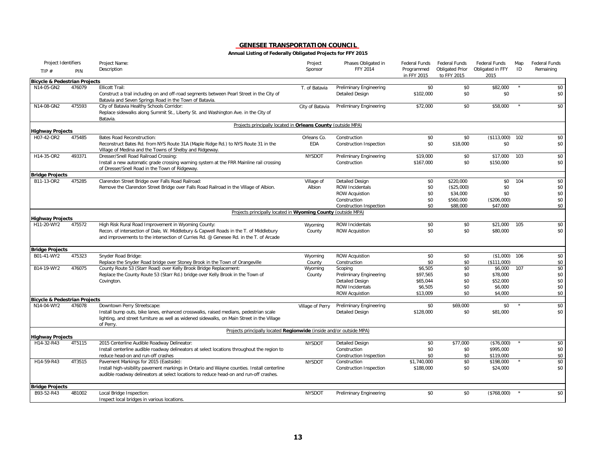| Project Identifiers                      |        | Project Name:                                                                                                                                                                                                                         | Project                   | Phases Obligated in                                                                                             | Federal Funds                                          | Federal Funds                                                | <b>Federal Funds</b>                                  | Map | <b>Federal Funds</b>            |
|------------------------------------------|--------|---------------------------------------------------------------------------------------------------------------------------------------------------------------------------------------------------------------------------------------|---------------------------|-----------------------------------------------------------------------------------------------------------------|--------------------------------------------------------|--------------------------------------------------------------|-------------------------------------------------------|-----|---------------------------------|
| TIP $#$                                  | PIN    | Description                                                                                                                                                                                                                           | Sponsor                   | <b>FFY 2014</b>                                                                                                 | Programmed<br>in FFY 2015                              | <b>Obligated Prior</b><br>to FFY 2015                        | Obligated in FFY<br>2015                              | ID  | Remaining                       |
| <b>Bicycle &amp; Pedestrian Projects</b> |        |                                                                                                                                                                                                                                       |                           |                                                                                                                 |                                                        |                                                              |                                                       |     |                                 |
| N14-05-GN2                               | 476079 | <b>Ellicott Trail:</b><br>Construct a trail including on and off-road segments between Pearl Street in the City of<br>Batavia and Seven Springs Road in the Town of Batavia.                                                          | T. of Batavia             | Preliminary Engineering<br><b>Detailed Design</b>                                                               | \$0<br>\$102,000                                       | \$0<br>\$0                                                   | \$82,000<br>\$0                                       |     | \$0<br>\$0                      |
| N14-08-GN2                               | 475593 | City of Batavia Healthy Schools Corridor:<br>Replace sidewalks along Summit St., Liberty St. and Washington Ave. in the City of<br>Batavia.                                                                                           | City of Batavia           | Preliminary Engineering                                                                                         | \$72,000                                               | \$0                                                          | \$58,000                                              |     | \$0                             |
|                                          |        | Projects principally located in Orleans County (outside MPA)                                                                                                                                                                          |                           |                                                                                                                 |                                                        |                                                              |                                                       |     |                                 |
| <b>Highway Projects</b><br>H07-42-OR2    | 475485 | <b>Bates Road Reconstruction:</b>                                                                                                                                                                                                     |                           |                                                                                                                 | \$0                                                    | \$0                                                          | (\$113,000)                                           | 102 | \$0                             |
|                                          |        | Reconstruct Bates Rd. from NYS Route 31A (Maple Ridge Rd.) to NYS Route 31 in the<br>Village of Medina and the Towns of Shelby and Ridgeway.                                                                                          | Orleans Co.<br><b>EDA</b> | Construction<br>Construction Inspection                                                                         | \$0                                                    | \$18,000                                                     | \$0                                                   |     | \$0                             |
| H14-35-OR2                               | 493371 | Dresser/Snell Road Railroad Crossing:<br>Install a new automatic grade crossing warning system at the FRR Mainline rail crossing<br>of Dresser/Snell Road in the Town of Ridgeway.                                                    | <b>NYSDOT</b>             | Preliminary Engineering<br>Construction                                                                         | \$19,000<br>\$167,000                                  | \$0<br>\$0                                                   | \$17,000<br>\$150,000                                 | 103 | \$0<br>\$0                      |
| <b>Bridge Projects</b>                   |        |                                                                                                                                                                                                                                       |                           |                                                                                                                 |                                                        |                                                              |                                                       |     |                                 |
| B11-13-OR2                               | 475285 | Clarendon Street Bridge over Falls Road Railroad:<br>Remove the Clarendon Street Bridge over Falls Road Railroad in the Village of Albion.                                                                                            | Village of<br>Albion      | Detailed Design<br><b>ROW Incidentals</b><br><b>ROW Acquistion</b><br>Construction<br>Construction Inspection   | \$0<br>\$0<br>\$0<br>\$0<br>\$0                        | \$220,000<br>(\$25,000)<br>\$34,000<br>\$560,000<br>\$88,000 | \$0<br>\$0<br>\$0<br>(\$206,000)<br>\$47,000          | 104 | \$0<br>\$0<br>\$0<br>\$0<br>\$0 |
|                                          |        | Projects principally located in Wyoming County (outside MPA)                                                                                                                                                                          |                           |                                                                                                                 |                                                        |                                                              |                                                       |     |                                 |
| <b>Highway Projects</b>                  |        |                                                                                                                                                                                                                                       |                           |                                                                                                                 |                                                        |                                                              |                                                       |     |                                 |
| H11-20-WY2                               | 475572 | High Risk Rural Road Improvement in Wyoming County:<br>Recon. of intersection of Dale, W. Middlebury & Capwell Roads in the T. of Middlebury<br>and improvements to the intersection of Curries Rd. @ Genesee Rd. in the T. of Arcade | Wyoming<br>County         | <b>ROW Incidentals</b><br><b>ROW Acquistion</b>                                                                 | \$0<br>\$0                                             | \$0<br>\$0                                                   | \$21.000<br>\$80,000                                  | 105 | \$0<br>\$0                      |
| <b>Bridge Projects</b>                   |        |                                                                                                                                                                                                                                       |                           |                                                                                                                 |                                                        |                                                              |                                                       |     |                                 |
| B01-41-WY2                               | 475323 | Snyder Road Bridge:<br>Replace the Snyder Road bridge over Stoney Brook in the Town of Orangeville                                                                                                                                    | Wyoming<br>County         | <b>ROW Acquistion</b><br>Construction                                                                           | \$0<br>\$0                                             | \$0<br>\$0                                                   | $($1,000)$ 106<br>(\$111,000)                         |     | \$0<br>\$0                      |
| B14-19-WY2                               | 476075 | County Route 53 (Starr Road) over Kelly Brook Bridge Replacement:<br>Replace the County Route 53 (Starr Rd.) bridge over Kelly Brook in the Town of<br>Covington.                                                                     | Wyoming<br>County         | Scoping<br>Preliminary Engineering<br><b>Detailed Design</b><br><b>ROW Incidentals</b><br><b>ROW Acquistion</b> | \$6,505<br>\$97,565<br>\$65,044<br>\$6,505<br>\$13,009 | \$0<br>\$0<br>\$0<br>\$0<br>\$0                              | \$6,000<br>\$78,000<br>\$52,000<br>\$6.000<br>\$4,000 | 107 | \$0<br>\$0<br>\$0<br>\$0<br>\$0 |
| <b>Bicycle &amp; Pedestrian Projects</b> |        |                                                                                                                                                                                                                                       |                           |                                                                                                                 |                                                        |                                                              |                                                       |     |                                 |
| N14-04-WY2                               | 476078 | Downtown Perry Streetscape:<br>Install bump outs, bike lanes, enhanced crosswalks, raised medians, pedestrian scale<br>lighting, and street furniture as well as widened sidewalks, on Main Street in the Village<br>of Perry.        | Village of Perry          | Preliminary Engineering<br><b>Detailed Design</b>                                                               | \$0<br>\$128,000                                       | \$69,000<br>\$0                                              | \$0<br>\$81,000                                       |     | \$0<br>\$0                      |
|                                          |        | Projects principally located Regionwide (inside and/or outside MPA)                                                                                                                                                                   |                           |                                                                                                                 |                                                        |                                                              |                                                       |     |                                 |
| <b>Highway Projects</b>                  |        |                                                                                                                                                                                                                                       |                           |                                                                                                                 |                                                        |                                                              |                                                       |     |                                 |
| H14-32-R43                               | 4T5115 | 2015 Centerline Audible Roadway Delineator:<br>Install centerline audible roadway delineators at select locations throughout the region to<br>reduce head-on and run-off crashes                                                      | <b>NYSDOT</b>             | Detailed Design<br>Construction<br><b>Construction Inspection</b>                                               | \$0<br>\$0<br>\$0                                      | \$77,000<br>\$0<br>\$0                                       | (\$76,000)<br>\$995,000<br>\$119,000                  |     | \$0<br>\$0<br>\$0               |
| H14-59-R43                               | 4T3515 | Pavement Markings for 2015 (Eastside):<br>Install high-visibility pavement markings in Ontario and Wayne counties. Install centerline<br>audible roadway delineators at select locations to reduce head-on and run-off crashes.       | <b>NYSDOT</b>             | Construction<br>Construction Inspection                                                                         | \$1,740,000<br>\$188,000                               | \$0<br>\$0                                                   | \$198,000<br>\$24,000                                 |     | \$0<br>\$0                      |
| <b>Bridge Projects</b>                   |        |                                                                                                                                                                                                                                       |                           |                                                                                                                 |                                                        |                                                              |                                                       |     |                                 |
| B93-52-R43                               | 4B1002 | Local Bridge Inspection:<br>Inspect local bridges in various locations.                                                                                                                                                               | <b>NYSDOT</b>             | Preliminary Engineering                                                                                         | \$0                                                    | \$0                                                          | (\$768,000)                                           |     | \$0                             |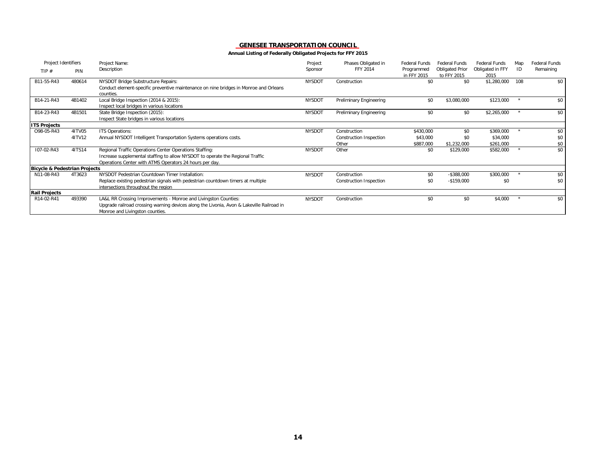| Project Identifiers                      |        | Project Name:                                                                             | Project       | Phases Obligated in     | <b>Federal Funds</b>      | <b>Federal Funds</b>                  | Federal Funds            | Map     | <b>Federal Funds</b> |
|------------------------------------------|--------|-------------------------------------------------------------------------------------------|---------------|-------------------------|---------------------------|---------------------------------------|--------------------------|---------|----------------------|
| TIP $#$                                  | PIN    | Description                                                                               | Sponsor       | <b>FFY 2014</b>         | Programmed<br>in FFY 2015 | <b>Obligated Prior</b><br>to FFY 2015 | Obligated in FFY<br>2015 | ID      | Remaining            |
| B11-55-R43                               | 480614 | NYSDOT Bridge Substructure Repairs:                                                       | <b>NYSDOT</b> | Construction            | \$0                       | \$0                                   | \$1,280,000              | 108     | \$0                  |
|                                          |        | Conduct element-specific preventive maintenance on nine bridges in Monroe and Orleans     |               |                         |                           |                                       |                          |         |                      |
|                                          |        | counties.                                                                                 |               |                         |                           |                                       |                          |         |                      |
| B14-21-R43                               | 4B1402 | Local Bridge Inspection (2014 & 2015):                                                    | <b>NYSDOT</b> | Preliminary Engineering | \$0                       | \$3,080,000                           | \$123,000                |         | \$0                  |
|                                          |        | Inspect local bridges in various locations                                                |               |                         |                           |                                       |                          |         |                      |
| B14-23-R43                               | 4B1501 | State Bridge Inspection (2015):                                                           | <b>NYSDOT</b> | Preliminary Engineering | \$0                       | \$0                                   | \$2,265,000              | $\star$ | \$0                  |
|                                          |        | Inspect State bridges in various locations                                                |               |                         |                           |                                       |                          |         |                      |
| <b>ITS Projects</b>                      |        |                                                                                           |               |                         |                           |                                       |                          |         |                      |
| O98-05-R43                               | 4ITV05 | ITS Operations:                                                                           | <b>NYSDOT</b> | Construction            | \$430,000                 | \$0                                   | \$369,000                |         | \$0                  |
|                                          | 41TV12 | Annual NYSDOT Intelligent Transportation Systems operations costs.                        |               | Construction Inspection | \$43,000                  | \$0                                   | \$34,000                 |         | \$0                  |
|                                          |        |                                                                                           |               | Other                   | \$887,000                 | \$1,232,000                           | \$261,000                |         | \$0                  |
| I07-02-R43                               | 4ITS14 | Regional Traffic Operations Center Operations Staffing:                                   | <b>NYSDOT</b> | Other                   | \$0                       | \$129,000                             | \$582,000                |         | \$0                  |
|                                          |        | Increase supplemental staffing to allow NYSDOT to operate the Regional Traffic            |               |                         |                           |                                       |                          |         |                      |
|                                          |        | Operations Center with ATMS Operators 24 hours per day.                                   |               |                         |                           |                                       |                          |         |                      |
| <b>Bicycle &amp; Pedestrian Projects</b> |        |                                                                                           |               |                         |                           |                                       |                          |         |                      |
| N11-08-R43                               | 4T3623 | NYSDOT Pedestrian Countdown Timer Installation:                                           | <b>NYSDOT</b> | Construction            | \$0                       | $-$ \$388,000                         | \$300,000                |         | \$0                  |
|                                          |        | Replace existing pedestrian signals with pedestrian countdown timers at multiple          |               | Construction Inspection | \$0                       | $-$159,000$                           | \$0                      |         | \$0                  |
|                                          |        | intersections throughout the region                                                       |               |                         |                           |                                       |                          |         |                      |
| <b>Rail Projects</b>                     |        |                                                                                           |               |                         |                           |                                       |                          |         |                      |
| R14-02-R41                               | 493390 | LA&L RR Crossing Improvements - Monroe and Livingston Counties:                           | <b>NYSDOT</b> | Construction            | \$0                       | \$0                                   | \$4,000                  |         | \$0                  |
|                                          |        | Upgrade railroad crossing warning devices along the Livonia, Avon & Lakeville Railroad in |               |                         |                           |                                       |                          |         |                      |
|                                          |        | Monroe and Livingston counties.                                                           |               |                         |                           |                                       |                          |         |                      |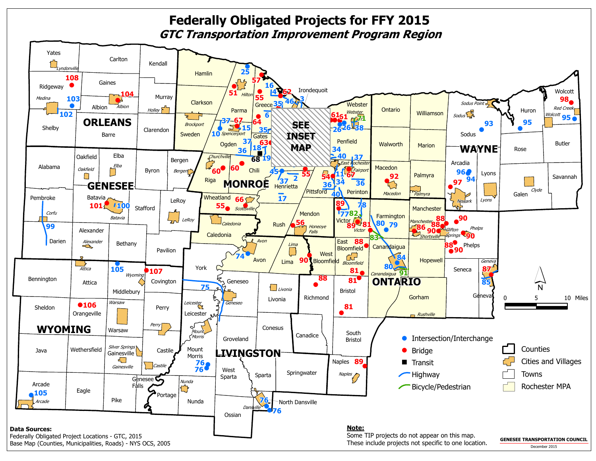